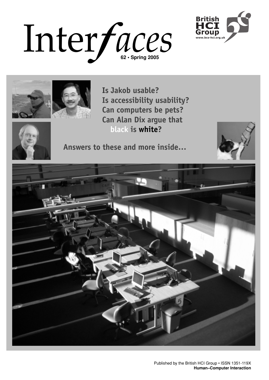





**Is Jakob usable? Is accessibility usability? Can computers be pets? Can Alan Dix argue that black is white?**



**Answers to these and more inside…**



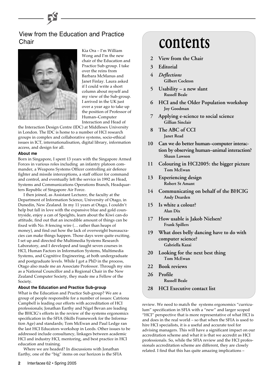## View from the Education and Practice **Chair**



Kia Ora – I'm William Wong and I'm the new chair of the Education and Practice Sub-group. I take over the reins from Barbara McManus and Janet Finlay. Laura asked if I could write a short column about myself and my view of the Sub-group. I arrived in the UK just over a year ago to take up the position of Professor of Human–Computer Interaction and Head of

the Interaction Design Centre (IDC) at Middlesex University in London. The IDC is home to a number of HCI research groups in complex and collaborative systems, socio-ethical issues in ICT, internationalisation, digital library, information access, and design for all.

#### **About me**

Born in Singapore, I spent 13 years with the Singapore Armed Forces in various roles including an infantry platoon commander, a Weapons Systems Officer controlling air defence fighter and missile interceptions, a staff officer for command and control, and eventually left the service in 1992 as Head, Systems and Communications Operations Branch, Headquarters Republic of Singapore Air Force.

I then joined, as Assistant Lecturer, the faculty at the Department of Information Science, University of Otago, in Dunedin, New Zealand. In my 11 years at Otago, I couldn't help but fall in love with the expansive blue and gold countryside, enjoy a can of Speights, learn about the Kiwi can-do attitude, find out that an incredible amount of things can be fixed with No. 8 fencing wire (… rather than heaps of money), and find out how the lack of overweight bureaucracies can make things happen. Those days were quite exciting. I set up and directed the Multimedia Systems Research Laboratory, and I developed and taught seven courses in HCI, Human Factors in Information Systems, Multimedia Systems, and Cognitive Engineering, at both undergraduate and postgraduate levels. While I got a PhD in the process, Otago also made me an Associate Professor. Through my sins as a National Councillor and a Regional Chair in the New Zealand Computer Society, they made me a Fellow of the Society.

#### **About the Education and Practice Sub-group**

What is the Education and Practice Sub-group? We are a group of people responsible for a number of issues: Catriona Campbell is leading our efforts with accreditation of HCI professionals; Jonathan Earthy and Nigel Bevan are leading the BHCIG's efforts in the review of the systems ergonomics specification in the SFIA (Skills Framework for the Information Age) and standards; Tom McEwan and Paul Ledge ran the last HCI Educators workshop in Leeds. Other issues to be addressed include consultancy, linkages between academic HCI and industry HCI, mentoring, and best practice in HCI education and training.

Where we are headed? In discussions with Jonathan Earthy, one of the "big" items on our horizon is the SFIA

- **2 View from the Chair**
- **3 Editorial**
- **4** *Deflections* **Gilbert Cockton**
- **5 Usability a new slant Russell Beale**
- **6 HCI and the Older Population workshop Joy Goodman**
- **7 Applying e-science to social science Gillian Sinclair**
- **8 The ABC of CCI Janet Read**
- **10 Can we do better human–computer interaction by observing human–animal interaction? Shaun Lawson**
- **11 Colouring in HCI2005: the bigger picture Tom McEwan**
- **13 Experiencing design Robert St Amant**
- **14 Communicating on behalf of the BHCIG Andy Dearden**
- **15 Is white a colour? Alan Dix**
- **17 How usable is Jakob Nielsen? Frank Spillers**
- **19 What does belly dancing have to do with computer science? Gabriella Kazai**
- **20 Looking for the next best thing Tom McEwan**
- **22 Book reviews**
- **26 Profile Russell Beale**
- **28 HCI Executive contact list**

review. We need to match the systems ergonomics "curriculum" specification in SFIA with a "new" and larger scoped "HCI" perspective that is more representative of what HCI is and does in the real world – so that when the SFIA is used to hire HCI specialists, it is a useful and accurate tool for advising managers. This will have a significant impact on our accreditation scheme and what it is that we accredit as HCI professionals. So, while the SFIA review and the HCI professionals accreditation scheme are different, they are closely related. I find that this has quite amazing implications –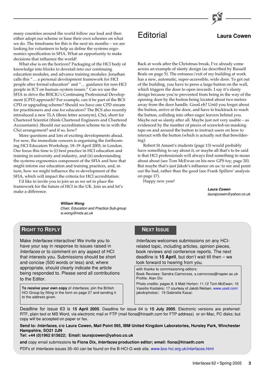many countries around the world follow our lead and then either adopt our scheme or base their own schemes on what we do. The timeframe for this is the next six months – we are looking for volunteers to help us define the systems ergonomics specification in SFIA. What an opportunity to make decisions that influence the world!

What else is on the horizon? Packaging of the HCI body of knowledge into blocks to dovetail into our continuing education modules, and advance training modules. Jonathan calls this "… a personal development framework for HCI people after formal education" and "… guidance for non-HCI people in ICT on human–system issues." Can we use the SFIA to drive the BHCIG's Continuing Professional Development (CPD) approach? For example, can it be part of the BCS CPD or upgrading scheme? Should we have one CPD stream for practitioners and one for educators? The BCS also recently introduced a new TLA (three letter acronym), CSci, short for Chartered Scientist (think Chartered Engineers and Chartered Accountants). Should our accreditation scheme tie in with the CSci arrangement? and if so, how?

More questions and lots of exciting developments ahead. For now, the immediate concern is organising the forthcoming HCI Educators Workshop, 18–19 April 2005, in London. Our focus this time is (i) best practice in HCI education and training in university and industry, and (ii) understanding the systems ergonomics component of the SFIA and how that might inform our education and training practices, and, in turn, how we might influence the re-development of the SFIA, which will impact the criteria for HCI accreditation.

I'd like to invite you to join us as we set in place the framework for the future of HCI in the UK. Join us and let's make a difference.

> **William Wong** Chair, Education and Practice Sub-group w.wong@mdx.ac.uk

## Editorial **Laura Cowen**

Back at work after the Christmas break, I've already come across an example of slanty design (as described by Russell Beale on page 5). The entrance/exit of my building at work has a new, automatic, super-accessible, wide door. To get out of the building, you have to press a large button on the wall, which triggers the door to open inwards. I say it's slanty design because you're prevented from being in the way of the opening door by the button being located about two metres away from the door handle. Good eh? Until you forget about the button, arrive at the door, and have to backtrack to reach the button, colliding into other eager leavers behind you. Maybe not so slanty after all. Maybe just not very usable – as evidenced by the number of pieces of scrawled-on masking tape on and around the button to instruct users on how to interact with the button (which is actually not that bewildering).

Robert St Amant's students (page 13) would probably have something to say about it, or maybe all that's to be said is that HCI professionals will always find something to moan about about (see Tom McEwan on his new GPS toy; page 20). But maybe that's just Jakob's influence on us: to see and point out the bad, rather than the good (see Frank Spillers' analysis on page 17).

Happy new year!

**Laura Cowen** laurajcowen@yahoo.co.uk

## **RIGHT TO REPLY**

Make Interfaces interactive! We invite you to have your say in response to issues raised in Interfaces or to comment on any aspect of HCI that interests you. Submissions should be short and concise (500 words or less) and, where appropriate, should clearly indicate the article being responded to. Please send all contributions to the Editor.

**To receive your own copy** of Interfaces, join the British HCI Group by filling in the form on page 27 and sending it to the address given.

## **NEXT ISSUE**

Interfaces welcomes submissions on any HCIrelated topic, including articles, opinion pieces, book reviews and conference reports. The next deadline is **15 April**, but don't wait till then – we look forward to hearing from you.

with thanks to commissioning editors: Book Reviews: Sandra Cairncross, s.cairncross@napier.ac.uk Profile: Alan Dix Photo credits: pages 8, 9 Matt Horton; 11,12 Tom McEwan; 16 Vassilis Kostakis; 17 courtesy of Jakob Nielsen, [www.useit.com/](http://www.useit.com/jakob/photos/) jakob/photos/; 19 Gabriella Kazai;

Deadline for issue 63 is **15 April 2005**. Deadline for issue 64 is **15 July 2005**. Electronic versions are preferred: RTF, plain text or MS Word, via electronic mail or FTP (mail fiona@hiraeth.com for FTP address) or on Mac, PC disks; but copy will be accepted on paper or fax.

**Send to: Interfaces, c/o Laura Cowen, Mail Point 095, IBM United Kingdom Laboratories, Hursley Park, Winchester Hampshire, SO21 2JN**

**Tel: +44 (0)1962 815622; Email: laurajcowen@yahoo.co.uk**

**and** copy email submissions **to Fiona Dix, Interfaces production editor; email: fiona@hiraeth.com**

PDFs of Interfaces issues 35–60 can be found on the B-HCI-G web site, [www.bcs-hci.org.uk/interfaces.html](http://www.bcs-hci.org.uk/interfaces.html)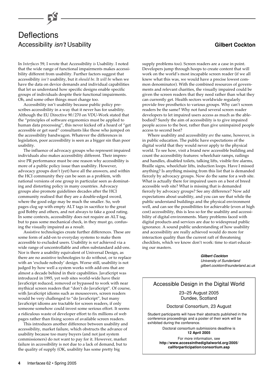In *Interfaces* 59, I wrote that Accessibility *is* Usability. I noted that the wide range of functional impairments makes accessibility different from usability. Further factors suggest that accessibility *isn't* usability, but it *should be*. It *will be* when we have the data on device demands and individual capabilities that let us understand how specific designs enable specific groups of individuals despite their functional impairments. Oh, and some other things must change too.

Accessibility isn't usability because public policy prescribes accessibility in a way that it never has for usability. Although the EU Directive 90/270 on VDU-Work stated that the "principles of software ergonomics must be applied to human data processing", this never kicked off a hoard of "get accessible or get sued" consultants like those who jumped on the accessibility bandwagon. Whatever the differences in legislation, poor accessibility is seen as a bigger sin than poor usability.

The influence of advocacy groups who represent impaired individuals also makes accessibility different. Their impressive PR performance must be one reason why accessibility is more of a public policy issue than usability. However, advocacy groups don't (yet) have all the answers, and within the HCI community they can be seen as a problem, with national versions of one group in particular seen as dominating and distorting policy in many countries. Advocacy groups also promote guidelines decades after the HCI community realised that they are a double-edged sword, where the good edge may be much the smaller. So, web pages clog up with empty ALT tags in sacrifice to the great god Bobby and others, and not always to fake a good rating. In some contexts, accessibility does not require an ALT tag, but to pass some mechanical check, in they must go, confusing the visually impaired as a result.

Assistive technologies create further differences. These are some form of add-on to everyday systems to make them accessible to excluded users. Usability is *not* achieved via a wide range of uncontrollable and often substandard add-ons. Nor is there a usability equivalent of Universal Design, as there are no assistive technologies to do without, or to replace with an 'exclude nobody' design. Worse still, usability is not judged by how well a system works with add-ons that are almost a decade behind in their capabilities. JavaScript was introduced in 1995, yet web sites world-wide have their JavaScript reduced, removed or bypassed to work with near mythical screen readers that "don't do JavaScript". Of course, with JavaScript idioms such as mouseovers, screen readers would be very challenged to "do JavaScript", but many JavaScript idioms are tractable for screen readers, if only someone somehow could invest some serious effort. It seems a ridiculous waste of developer effort to fix millions of web pages rather than fixing scores of available screen readers.

This introduces another difference between usability and accessibility, market failure, which obstructs the advance of usability because too many buyers (and not just system commissioners) do not want to pay for it. However, market failure in accessibility is not due to a lack of demand, but to the quality of supply (OK, usability has some pretty big

supply problems too). Screen readers are a case in point. Developers jump through hoops to create content that will work on the world's most incapable screen reader (if we all knew what this was, we would have a precise lowest common denominator). With the combined resources of governments and relevant charities, the visually impaired could be given the screen readers that they need rather than what they can currently get. Health sectors worldwide regularly provide free prosthetics to various groups. Why can't screen readers be the same? Why not fund several screen reader developers to let impaired users access as much as the ablebodied? Surely the aim of accessibility is to give impaired people access to the best, rather than give unimpaired people access to second best?

Where usability and accessibility *are* the same, however, is in public education. The public have expectations of the digital world that they would never apply to the physical world. To see how, visit a brand new accessible building and count the accessibility features: wheelchair ramps, railings and handles, disabled toilets, talking lifts, visible fire alarms, Braille signs, wheelchair lifts, induction loops. Have I missed anything? Is anything missing from this list that is demanded fiercely by advocacy groups. Now do the same for a web site. What is actually there for impaired users on a best of breed accessible web site? What is missing that is demanded fiercely by advocacy groups? See any difference? Now add expectations about usability, and you can see that while the public understand buildings and the physical environment well, and can see the possibilities for achievable (even at high cost) accessibility, this is less so for the usability and accessibility of digital environments. Many problems faced with digital products and services are due to widespread public ignorance. A sound public understanding of how usability and accessibility are really achieved would do more for interaction quality than the current raft of threatening checklists, which we know don't work: time to start educating our masters.

> **Gilbert Cockton** University of Sunderland gilbert.cockton@sunderland.ac.uk

## Accessible Design in the Digital World

23–25 August 2005 Dundee, Scotland

Doctoral Consortium, 23 August

Student participants will have their abstracts published in the conference proceedings and a poster of their work will be exhibited during the conference.

> Doctoral consortium submissions deadline is **12 April 2005**

For more information, see **http://www.accessinthedigitalworld.org/2005/ callforparticipation/consortium.asp**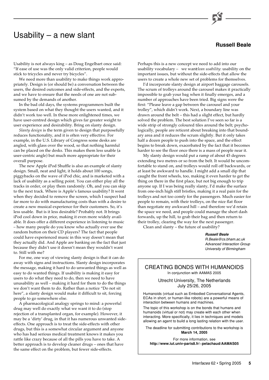## Usability – a new slant



Usability is not always king – as Doug Engelbart once said: "If ease of use was the only valid criterion, people would stick to tricycles and never try bicycles".

We need more than usability to make things work appropriately. Design is (or should be) a conversation between the users, the desired outcomes and side-effects, and the experts, and we have to ensure that the needs of one are not subsumed by the demands of another.

In the bad old days, the systems programmers built the system based on what they thought the users wanted, and it didn't work too well. In these more enlightened times, we have user-centred design which gives far greater weight to user experience and desirability. Bring on slanty design.

*Slanty design* is the term given to design that purposefully reduces functionality, and it is often very effective. For example, in the U.S. Library of Congress some desks are angled, with glass over the wood, so that nothing harmful can be placed on the desks. This makes them less usable (a user-centric angle) but much more appropriate for their overall purpose.

The new Apple iPod Shuffle is also an example of slanty design. Small, neat and light, it holds about 100 songs, piggybacks on the wave of iPod chic, and is marketed with a lack of usability as a selling point. You can either play all the tracks in order, or play them randomly. Oh, and you can skip to the next track. Where is Apple's famous usability? It went when they decided to remove the screen, which I suspect had far more to do with manufacturing costs than with a desire to create a new musical experience for their customers. So, it's less usable. But is it less desirable? Probably not. It brings iPod cool down in price, making it even more widely available. It does offer a different experience in listening to music – how many people do you know who actually ever use the random button on their CD players? The fact that people could have experienced music in this way doesn't mean that they actually did. And Apple are banking on the fact that just because they didn't use it doesn't mean they wouldn't want to. Still with me?

For me, one way of viewing slanty design is that it can do away with signs and instructions. Slanty design incorporates the message, making it hard to do unwanted things as well as easy to do wanted things. If usability is making it easy for users to do what they need to do, then we need to have unusability as well – making it hard for them to do the things we don't want them to do. Rather than a notice "Do not sit here", a slanty design would make it difficult to sit, forcing people to go somewhere else.

A pharmacological analogy springs to mind: a powerful drug may well do exactly what we want it to do (stop rejection of a transplanted organ, for example). However, it may be a 'dirty' drug, in that it has numerous unwanted sideeffects. One approach is to treat the side-effects with other drugs, but this is a somewhat circular argument and anyone who has had serious medical treatment knows it makes you rattle like crazy because of all the pills you have to take. A better approach is to develop cleaner drugs – ones that have the same effect on the problem, but fewer side-effects.

Perhaps this is a new concept we need to add into our usability vocabulary - we wantlean usability: usability on the important issues, but without the side-effects that allow the users to create a whole new set of problems for themselves.

I'd incorporate slanty design at airport baggage carousels. The scrum of trolleys around the carousel makes it practically impossible to grab your bag when it finally emerges, and a number of approaches have been tried. Big signs were the first: "Please leave a gap between the carousel and your trolley", which didn't work. Next, a boundary line was drawn around the belt – this had a slight effect, but hardly solved the problem. The best solution I've seen so far is a wide strip of strongly coloured tiles around the belt; psychologically, people are reticent about breaking into that boundary area and it reduces the scrum slightly. But it only takes half a dozen people to push into the space, and the effect begins to break down, exacerbated by the fact that it becomes harder to see the floor once there is a mass of people near it.

My slanty design would put a ramp of about 45 degrees extending two metres or so from the belt. It would be uncomfortable to stand on, and trolleys would roll off backwards, or at least be awkward to handle. I might add a small dip that caught the front wheels, too, making it even harder to get the thing on there in the first place, but not big enough to trip anyone up. If I was being really slanty, I'd make the surface from one-inch high stiff bristles, making it a real pain for the trolleys and not too comfy for the passengers. Much easier for people to remain, with their trolleys, on the nice flat floor than negotiate my awkward hill – and therefore we'd retain the space we need, and people could manage the short dash forwards, up the hill, to grab their bag and then return to their trolley, clearing the way for the next passenger.

Clean and slanty – the future of usability?

**Russell Beale** R.Beale@cs.bham.ac.uk Advanced Interaction Group University of Birmingham

### CREATING BONDS WITH HUMANOIDS In conjunction with AAMAS 2005

Utrecht University, The Netherlands July 25/26, 2005

Humanoids (virtual such as Embodied Conversational Agents, ECAs in short, or human-like robots) are a powerful means of interaction between humans and machines.

The topic of this workshop is on the bonds that humans and humanoids (virtual or not) may create with each other when interacting. More specifically, it lies in techniques and models allowing an agent to build a long lasting relation with the user.

The deadline for submitting contributions to the workshop is **March 14, 2005**

For more information, see **http://www.iut.univ-paris8.fr/~pelachaud/AAMAS05**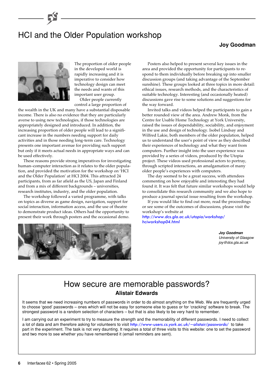# HCI and the Older Population workshop

## **Joy Goodman**



The proportion of older people in the developed world is rapidly increasing and it is imperative to consider how technology design can meet the needs and wants of this important user group. Older people currently

control a large proportion of

the wealth in the UK and many have a substantial disposable income. There is also no evidence that they are particularly averse to using new technologies, if those technologies are appropriately designed and introduced. In addition, the increasing proportion of older people will lead to a significant increase in the numbers needing support for daily activities and in those needing long-term care. Technology presents one important avenue for providing such support but only if it meets actual needs in appropriate ways and can be used effectively.

These reasons provide strong imperatives for investigating human–computer interaction as it relates to the older population, and provided the motivation for the workshop on 'HCI and the Older Population' at HCI 2004. This attracted 24 participants, from as far afield as the US, Japan and Finland and from a mix of different backgrounds – universities, research institutes, industry, and the older population.

The workshop followed a varied programme, with talks on topics as diverse as game design, navigation, support for social interaction, information access, and the use of theatre to demonstrate product ideas. Others had the opportunity to present their work through posters and the occasional demo.



Posters also helped to present several key issues in the area and provided the opportunity for participants to respond to them individually before breaking up into smaller discussion groups (and taking advantage of the September sunshine). These groups looked at three topics in more detail: ethical issues, research methods, and the characteristics of suitable technology. Interesting (and occasionally heated) discussions gave rise to some solutions and suggestions for the way forward.

Invited talks and videos helped the participants to gain a better rounded view of the area. Andrew Monk, from the Centre for Usable Home Technology at York University, raised the issues of dependability, sociability, and enjoyment in the use and design of technology. Isobel Lindsay and Wilfred Lakie, both members of the older population, helped us to understand the user's point of view as they described their experiences of technology and what they want from computers. Further insight into the user experience was provided by a series of videos, produced by the Utopia project. These videos used professional actors to portray, through scripted interactions, an amalgamation of many older people's experiences with computers.

The day seemed to be a great success, with attendees commenting on how enjoyable and interesting they had found it. It was felt that future similar workshops would help to consolidate this research community and we also hope to produce a journal special issue resulting from the workshop.

If you would like to find out more, read the proceedings or see some of the outcomes of discussions, please visit the workshop's website at

[http://www.dcs.gla.ac.uk/utopia/workshop/](http://www.dcs.gla.ac.uk/utopia/workshop/hciworkshop04.html) hciworkshop04.html

> **Joy Goodman** University of Glasgow joy@dcs.gla.ac.uk

## How secure are memorable passwords? **Alistair Edwards**

It seems that we need increasing numbers of passwords in order to do almost anything on the Web. We are frequently urged to choose 'good' passwords – ones which will not be easy for someone else to guess or for 'cracking' software to break. The strongest password is a random selection of characters – but that is also likely to be very hard to remember.

I am carrying out an experiment to try to measure the strength and the memorability of different passwords. I need to collect a lot of data and am therefore asking for volunteers to visit <http://www-users.cs.york.ac.uk/~alistair/passwords/> to take part in the experiment. The task is not very daunting. It requires a total of three visits to this website: one to set the password and two more to see whether you have remembered it (email reminders are sent).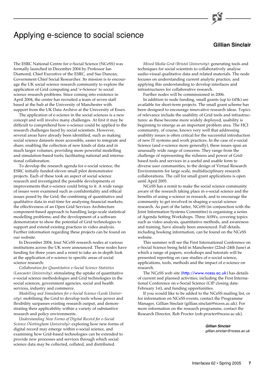## Applying e-science to social science

## **Gillian Sinclair**

The ESRC National Centre for e-Social Science (NCeSS) was formally launched in December 2004 by Professor Ian Diamond, Chief Executive of the ESRC, and Sue Duncan, Government Chief Social Researcher. Its mission is to encourage the UK social science research community to explore the application of Grid computing and 'e-Science' to social science research problems. Since coming into existence in April 2004, the centre has recruited a team of seven staff based at the hub at the University of Manchester with support from the UK Data Archive at the University of Essex.

The application of e-science in the social sciences is a new concept and will involve many challenges. At first it may be difficult to comprehend how e-science could be applied to the research challenges faced by social scientists. However, several areas have already been identified, such as making social science datasets more accessible, easier to integrate and share; enabling the collection of new kinds of data and in much larger volumes; providing more powerful modelling and simulation-based tools; facilitating national and international collaboration.

To develop the research agenda for e-social science, the ESRC initially funded eleven small pilot demonstrator projects. Each of these took an aspect of social science research and investigated the possible developments or improvements that e-science could bring to it. A wide range of issues were examined such as confidentiality and ethical issues posed by the Grid; the combining of quantitative and qualitative data in real-time for analysing financial markets; the effectiveness of an Open Grid Services Architecture component-based approach to handling large-scale statistical modelling problems; and the development of a software demonstrator to show the potential of Grid technologies to support and extend existing practices in video analysis. Further information regarding these projects can be found on our website.

In December 2004, four NCeSS research nodes at various institutions across the UK were announced. These nodes have funding for three years and a remit to take an in-depth look at the application of e-science to specific areas of social science research:

*Collaboration for Quantitative e-Social Science Statistics (Lancaster University)*: stimulating the uptake of quantitative e-social science methodologies and Grid technologies in the social sciences, government agencies, social and health services, industry and commerce.

*Modelling and Simulation for e-Social Science (Leeds University)*: mobilising the Grid to develop tools whose power and flexibility surpasses existing research output, and demonstrating their applicability within a variety of substantive research and policy environments.

*Understanding New Forms of Digital Record for e-Social Science (Nottingham University)*: exploring how new forms of digital record may emerge within e-social science, and examining how Grid-based technologies can be extended to provide new processes and services through which social science data may be collected, collated, and distributed.

*Mixed Media Grid (Bristol University)*: generating tools and techniques for social scientists to collaboratively analyse audio-visual qualitative data and related materials. The node focuses on understanding current analytic practice, and applying this understanding to develop interfaces and infrastructures for collaborative research.

Further nodes will be commissioned in 2006.

In addition to node funding, small grants (up to £45k) are available for short-term projects. The small grant scheme has been designed to encourage innovative research ideas. Topics of relevance include the usability of Grid tools and infrastructures: as these become more widely deployed, usability is beginning to emerge as an important problem area. The HCI community, of course, knows very well that addressing usability issues is often critical for the successful introduction of new IT systems and work practices. In the case of e-social Science (and e-science more generally), these issues span an unusually wide range of concerns. They range from the challenge of representing the richness and power of Gridbased tools and services in a useful and usable form to diverse user communities, to the design of Virtual Research Environments for large scale, multidisciplinary research collaborations. The call for small grant applications is open until April 2005.

NCeSS has a remit to make the social science community aware of the research taking place in e-social science and the benefits of using e-science in research, and to encourage the community to get involved in shaping e-social science research. As part of the latter, NCeSS (in conjunction with the Joint Information Systems Committee) is organising a series of Agenda Setting Workshops. Three ASWs, covering topics such as video analysis, quantitative methods, and awareness and training, have already been announced. Full details, including booking information, can be found on the NCeSS website.

This summer will see the First International Conference on e-Social Science being held in Manchester (22nd–24th June) at which a range of papers, workshops and tutorials will be presented reporting on case studies of e-social science, applications, tools, methods and the impact of e-science on research.

The NCeSS web site ([http://www.ncess.ac.uk](http://www.ncess.ac.uk/)) has details of current and planned activities, including the First International Conference on e-Social Science (CfP closing date: February 1st), and funding opportunities.

If you would like to be added to the NCeSS mailing list, or for information on NCeSS events, contact the Programme Manager, Gillian Sinclair (gillian.sinclair@ncess.ac.uk). For more information on the research programme, contact the Research Director, Rob Procter (rob.procter@ncess.ac.uk).

> **Gillian Sinclair** gillian.sinclair@ncess.ac.uk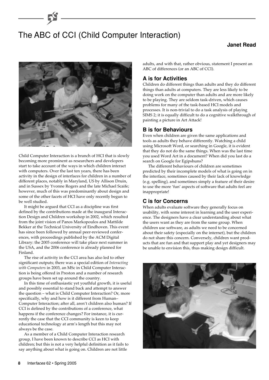# The ABC of CCI (Child Computer Interaction)

## **Janet Read**



Child Computer Interaction is a branch of HCI that is slowly becoming more prominent as researchers and developers start to take account of the ways in which children interact with computers. Over the last ten years, there has been activity in the design of interfaces for children in a number of different places, notably in Maryland, US by Allison Druin, and in Sussex by Yvonne Rogers and the late Michael Scaife; however, much of this was predominantly about design and some of the other facets of HCI have only recently begun to be well studied.

It might be argued that CCI as a discipline was first defined by the contributions made at the inaugural Interaction Design and Children workshop in 2002, which resulted from the joint vision of Panos Markopoulos and Mattilde Bekker at the Technical University of Eindhoven. This event has since been followed by annual peer-reviewed conferences, with proceedings published by the ACM Digital Library: the 2005 conference will take place next summer in the USA, and the 2006 conference is already planned for Finland.

The rise of activity in the CCI area has also led to other significant outputs; there was a special edition of *Interacting with Computers* in 2003, an MSc in Child Computer Interaction is being offered in Preston and a number of research groups have been set up around the country.

In this time of enthusiastic yet youthful growth, it is useful and possibly essential to stand back and attempt to answer the question – what is Child Computer Interaction? Or, more specifically, why and how is it different from Human– Computer Interaction; after all, aren't children also human? If CCI is defined by the contributions of a conference, what happens if the conference changes? For instance, it is currently the case that the CCI community is keen to keep educational technology at arm's length but this may not always be the case.

As a member of a Child Computer Interaction research group, I have been known to describe CCI as HCI with children; but this is not a very helpful definition as it fails to say anything about what is going on. Children are not little

adults, and with that, rather obvious, statement I present an ABC of differences (or an ABC of CCI).

## **A is for Activities**

Children do different things than adults and they do different things than adults at computers. They are less likely to be doing work on the computer than adults and are more likely to be playing. They are seldom task-driven, which causes problems for many of the task-based HCI models and processes. It is non-trivial to do a task analysis of playing SIMS 2; it is equally difficult to do a cognitive walkthrough of painting a picture in Art Attack!

### **B is for Behaviours**

Even when children are given the same applications and tools as adults they behave differently. Watching a child using Microsoft Word, or searching in Google, it is evident that they do not do the same things. When was the last time you used Word Art in a document? When did you last do a search on Google for Egipshuns?

The different behaviours of children are sometimes predicted by their incomplete models of what is going on in the interface, sometimes caused by their lack of knowledge (e.g. spelling), and sometimes simply a feature of their desire to use the more 'fun' aspects of software that adults feel are inappropriate!

## **C is for Concerns**

When adults evaluate software they generally focus on usability, with some interest in learning and the user experience. The designers have a clear understanding about what the users want as they are from the same group. When children use software, as adults we need to be concerned about their safety (especially on the internet), but the children do not share this concern. Conversely, children want products that are fun and that support play and yet designers may be unable to envision this, thus making design difficult.

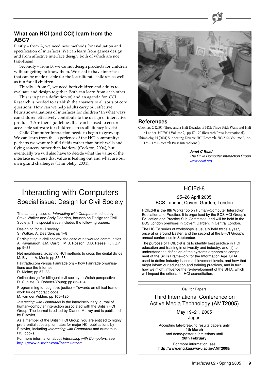## **What can HCI (and CCI) learn from the ABC?**

Firstly – from A, we need new methods for evaluation and specification of interfaces. We can learn from games design and from affective interface design, both of which are not task-based.

Secondly – from B, we cannot design products for children without getting to know them. We need to have interfaces that can be made usable for the least literate children as well as fun for all children.

Thirdly – from C, we need both children and adults to evaluate and design together. Both can learn from each other.

This is in part a definition of, and an agenda for, CCI. Research is needed to establish the answers to all sorts of core questions. How can we help adults carry out effective heuristic evaluations of interfaces for children? In what ways can children effectively contribute to the design of interactive products? Are there guidelines that can be used to ensure accessible software for children across all literacy levels?

Child Computer Interaction needs to begin to grow up. We can learn from the experience of the HCI community; perhaps we want to build fields rather than brick walls and flying saucers rather than ladders! (Cockton, 2004), but eventually we will also have to decide what the value of the interface is, where that value is leaking out and what are our own grand challenges (Thimbleby, 2004).



#### **References**

Cockton, G (2004) Three and a Half Decades of HCI: Three Brick Walls and Half a Ladder. *HCI2004* Volume 2, pp 17 – 20 (Research Press International). Thimbleby, H (2004) Supporting Diverse HCI Research. *HCI2004* Volume 2, pp 125 – 128 (Research Press International).

**Janet C Read**

The Child Computer Interaction Group [www.chici.org](http://www.chici.org/)

## HCIEd-8

#### 25–26 April 2005 BCS London, Covent Garden, London

HCIEd-8 is the 8th Workshop on Human–Computer Interaction Education and Practice. It is organised by the BCS HCI Group's Education and Practice Sub-Committee, and will be held in the BCS London premises in Covent Garden, in Central London.

The HCIEd series of workshops is usually held twice a year, once at or around Easter, and the second at the BHCI Group's annual conference in September.

The purpose of HCIEd-8 is (i) to identify best practice in HCI education and training in university and industry, and (ii) to understand the definition of the systems ergonomics component of the Skills Framework for the Information Age, SFIA, used to define industry-based achievement levels, and how that might inform our education and training practices, and in turn how we might influence the re-development of the SFIA, which will impact the criteria for HCI accreditation.

Call for Papers

Third International Conference on Active Media Technology (AMT2005)

> May 19–21, 2005 Japan

Accepting late-breaking results papers until **4th March** and demo/poster submissions until

**28th February**

For more information, see **http://www.eng.kagawa-u.ac.jp/AMT2005/**

## Interacting with Computers Special issue: Design for Civil Society

The January issue of Interacting with Computers, edited by Steve Walker and Andy Dearden, focuses on Design for Civil Society. This special issue includes the following papers:

Designing for civil society

S. Walker, A. Dearden; pp 1–8

Participating in civil society: the case of networked communities A. Kavanaugh, J.M. Carroll, M.B. Rosson, D.D. Reese, T.T. Zin; pp 9–33

Net neighbours: adapting HCI methods to cross the digital divide M. Blythe, A. Monk; pp 35–56

Fairtrade.com versus Fairtrade.org – how Fairtrade organisations use the Internet

D. Kleine; pp 57–83

Online design for bilingual civil society: a Welsh perspective D. Cunliffe, D. Roberts-Young; pp 85–104

Programming for cognitive justice – Towards an ethical framework for democratic code

M. van der Velden; pp 105–120

Interacting with Computers is the interdisciplinary journal of human–computer interaction associated with the British HCI Group. The journal is edited by Dianne Murray and is published by Elsevier.

As a member of the British HCI Group, you are entitled to highly preferential subscription rates for major HCI publications by Elsevier, including Interacting with Computers and numerous HCI books.

For more information about Interacting with Computers, see [http://www.elsevier.com/locate/intcom](http://www.elsevier.com/locate/intcom/)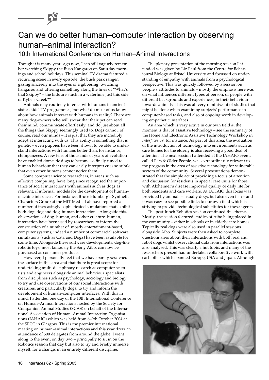## Can we do better human–computer interaction by observing human–animal interaction? 10th International Conference on Human–Animal Interactions

Though it is many years ago now, I can still vaguely remember watching Skippy the Bush Kangaroo on Saturday mornings and school holidays. This seminal TV drama featured a recurring scene in every episode: the bush park ranger, gazing sincerely into the eyes of a gibbering, twitching kangaroo and uttering something along the lines of "What's that Skippy? – the kids are stuck in a waterhole just this side of Kylie's Creek?"

Animals may routinely interact with humans in ancient sixties kids' TV programmes, but what do most of us know about how animals interact with humans in reality? There are many dog-owners who will swear that their pet can read their mind, communicate effortlessly, and do just about all the things that Skippy seemingly used to. Dogs cannot, of course, read our minds – it is just that they are incredibly adept at interacting with us. This ability is something that is genetic – even puppies have been shown to be able to understand interactions with humans better than, for instance, chimpanzees. A few tens of thousands of years of evolution have enabled domestic dogs to become so finely tuned to human behaviour that they can easily interpret cues so subtle that even other humans cannot notice them.

Some computer science researchers, in areas such as affective computing, have long since recognised the importance of social interactions with animals such as dogs as relevant, if informal, models for the development of human– machine interfaces. For instance, Bruce Blumberg's Synthetic Characters Group at the MIT Media Lab have reported a number of increasingly sophisticated simulations that exhibit both dog–dog and dog–human interactions. Alongside this, observations of dog–human, and other creature–human, interaction have been used by researchers to inform the construction of a number of, mostly entertainment-based, computer systems; indeed a number of commercial software simulations (such as Catz and Dogz) have been available for some time. Alongside these software developments, dog-like robotic toys, most famously the Sony Aibo, can now be purchased as consumer products.

However, I personally feel that we have barely scratched the surface in this area and that there is great scope for undertaking multi-disciplinary research as computer scientists and engineers alongside animal behaviour specialists from disciplines such as psychology, sociology and biology, to try and use observations of our social interactions with creatures, and particularly dogs, to try and inform the development of human–computer interfaces. With this in mind, I attended one day of the 10th International Conference on Human–Animal Interactions hosted by the Society for Companion Animal Studies (SCAS) on behalf of the International Association of Human–Animal Interaction Organisations (IAHAIO) which was held from 6–9th October 2004 at the SECC in Glasgow. This is the premier international meeting on human–animal interactions and this year drew an attendance of 500 delegates from around the globe. I went along to the event on day two – principally to sit in on the Robotics session that day but also to try and briefly immerse myself, for a change, in an entirely different discipline.

The plenary presentation of the morning session I attended was given by Liz Paul from the Centre for Behavioural Biology at Bristol University and focussed on understanding of empathy with animals from a psychological perspective. This was quickly followed by a session on people's attitudes to animals – mostly the emphasis here was on what influences different types of person, or people with different backgrounds and experiences, in their behaviour towards animals. This was all very reminiscent of studies that might be done when examining subjects' performance in computer-based tasks, and also of ongoing work in developing empathetic interfaces.

An area which is very active in our own field at the moment is that of assistive technology – see the summary of the Home and Electronic Assistive Technology Workshop in *Interfaces* 59, for instance. As part of this area, the evaluation of the introduction of technology into environments such as care homes for the elderly is also receiving a good deal of attention. The next session I attended at the IAHAIO event, called Pets & Older People, was extraordinarily relevant to the progress in the area of assistive technology for vulnerable sectors of the community. Several presentations demonstrated that the simple act of providing a focus of attention and discussion for residents in special care units for those with Alzheimer's disease improved quality of daily life for both residents and care workers. At IAHAIO this focus was provided by animals – usually dogs, but also even fish – and it was easy to see possible links to our own field which is striving to provide technological substitutes for these agents.

The post-lunch Robotics session continued this theme. Mostly, the session featured studies of Aibo being placed in the community – either in schools or in elderly care homes. Typically real dogs were also used in parallel sessions alongside Aibo. Subjects were then asked to complete questionnaires about their interactions with both real and robot dogs whilst observational data from interactions was also analysed. This was clearly a hot topic, and many of the researchers present had undertaken collaborative work with each other which spanned Europe, USA and Japan. Although

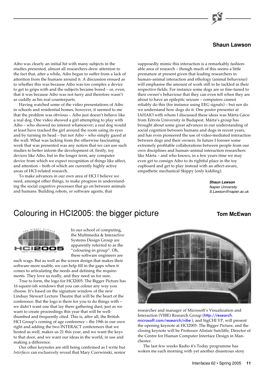## **Shaun Lawson**

Aibo was clearly an initial hit with many subjects in the studies presented, almost all researchers drew attention to the fact that, after a while, Aibo began to suffer from a lack of attention from the humans around it. A discussion ensued as to whether this was because Aibo was too complex a device to get to grips with and the subjects became bored – or, even, that it was because Aibo was not furry and therefore wasn't as cuddly as his real counterparts.

Having watched some of the video presentations of Aibo in schools and residential homes, however, it seemed to me that the problem was obvious – Aibo just doesn't behave like a real dog. One video showed a girl attempting to play with Aibo – who showed no interest whatsoever; a real dog would at least have tracked the girl around the room using its eyes and by turning its head – but not Aibo – who simply gazed at the wall. What was lacking from the otherwise fascinating work that was presented was any notion that we can use such studies to better inform the development of, firstly, toy devices like Aibo, but in the longer term, any computer device from which we expect recognition of things like affect, and attention – both of which are currently highly active areas of HCI-related research.

To make advances in our own area of HCI I believe we need, amongst other things, to make progress in understanding the social cognitive processes that go on between animals and humans. Building robots, or software agents, that

supposedly mimic this interaction is a remarkably fashionable area of research – though much of this seems a little premature at present given that leading researchers in human–animal interaction and ethology (animal behaviour) will emphasise the amount of work still to be tackled in their respective fields. For instance some dogs are so fine-tuned to their owner's behaviour that they can even tell when they are about to have an epileptic seizure – computers cannot reliably do this (for instance using EEG signals) – but nor do we understand how dogs do it. One poster presenter at IAHAIO with whom I discussed these ideas was Márta Gácsi from Eötvös University in Budapest. Márta's group has brought about some great advances in our understanding of social cognition between humans and dogs in recent years, and has even pioneered the use of video-mediated interaction between dogs and their owners. In future I foresee some extremely profitable collaborations between people from our own disciplines and human–animal interaction researchers like Márta – and who knows, in a few years time we may even get to consign Aibo to its rightful place in the toy cupboard and get to play instead with an affect-aware, empathetic mechanical Skippy (only kidding).

> **Shaun Lawson** Napier University S.Lawson@napier.ac.uk

## Colouring in HCI2005: the bigger picture **TOM** Tom McEwan





In our school of computing, the Multimedia & Interactive Systems Design Group are apparently referred to as the "colouring-in group". Oh, these software engineers are

such wags. But as well as the screen design that makes their software more usable, we can help fill in the gaps when it comes to articulating the needs and defining the requirements. They love us really, and they need us for sure.

True to form, the logo for HCI2005: The Bigger Picture has 16 square-ish windows that you can colour any way you choose. It's based on the signature window of the new Lindsay Stewart Lecture Theatre that will be the heart of the conference. But the logo is there for you to do things with – we didn't want one that lay there gathering dust, just as we want to create proceedings this year that will be wellthumbed and frequently cited. This is, after all, the British HCI Group's coming of age conference – the 19th in our own right and adding the two INTERACT conferences that we hosted as well, makes us 21 this year, and we want the keys to that door, and we want our ideas in the world, in use and making a difference.

Our other keynotes are still being confirmed as I write but *Interfaces* can exclusively reveal that Mary Czerwinski, senior



researcher and manager of Microsoft's Visualization and [Interaction \(VIBE\) Research Group \(](http://research.microsoft.com/research/vibe/)http://research. microsoft.com/research/vibe ), and SigCHI VP, will present the opening keynote at HCI2005: The Bigger Picture, and the closing keynote will be Professor Alistair Sutcliffe, Director of the Centre for Human Computer Interface Design in Manchester.

The last few weeks Radio 4's Today programme has woken me each morning with yet another disastrous story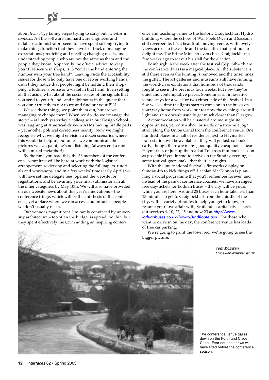about *technology* failing *people* trying to carry out *activities* in *contexts*. All the software and hardware engineers and database administrators seem to have spent so long trying to make things function that they have lost track of managing expectations, predicting and meeting changing needs, and understanding people who are not the same as them and the people they know. Apparently the official advice, to keep your PIN secure in shops, is to "cover the hand entering the number with your free hand". Leaving aside the accessibility issues for those who only have one or fewer working hands, didn't they notice that people might be holding their shopping, a toddler, a purse or a wallet in that hand. Even setting all that aside, what about the social issues of the signals that you send to your friends and neighbours in the queue that you don't trust them not to try and find out your PIN.

We see these things, we point them out, but are we managing to change them? When we do, do we "manage the story" – at lunch yesterday a colleague in our Design School was laughing at American drive-in ATMs having Braille pads – yet another political correctness inanity. Now we might recognise why, we might envision a dozen scenarios where this would be helpful, but unless we communicate the pictures we can paint, he's not listening (always end a rant with a mixed metaphor!).

By the time you read this, the 36 members of the conference committee will be hard at work with the logistical arrangement, reviewing and selecting the full papers, tutorials and workshops, and in a few weeks' time (early April) we will have set the delegate fees, opened the website for registrations, and be awaiting your final submissions in all the other categories by May 10th. We will also have provided on our website news about this year's innovations – the conference fringe, which will be the antithesis of the conference, yet a place where we can access and influence people we don't usually reach.

Our venue is magnificent. I'm rarely convinced by university architecture – too often the budget is spread too thin, but they spent effectively the £25m adding an inspiring conference and teaching venue to the historic Craiglockhart Hydro building, where the echoes of War Poets Owen and Sassoon still reverberate. It's a beautiful, moving venue, with lovely views across to the castle and the facilities that continue to delight me. The Prime Minister even chose Craiglockhart a few weeks ago to set out his stall for the election.

Edinburgh in the week after the festival (Sept 5th–9th are the conference dates) is a magical place. All the substance is still there even as the bunting is removed and the tinsel lines the gutter. The art galleries and museums still have running the world-class exhibitions that hundreds of thousands fought to see in the previous four weeks, but now they're quiet and contemplative places. Sometimes an innovative venue stays for a week or two either side of the festival. In a few weeks' time the lights start to come on in the buses on your way home from work, but for now the evenings are still light and rain doesn't usually get much closer than Glasgow.

Accommodation will be clustered around nightlife opportunities, yet only a short bus-ride or a two-mile jog/ stroll along the Union Canal from the conference venue. One hundred places in a hall of residence next to Haymarket train-station will be available – they will go fast, so book early, though there are many good quality cheap hotels near Haymarket, or just up the road at Tollcross (but book as soon as possible if you intend to arrive on the Sunday evening, as some festival-goers make that their last night).

With the international festival's fireworks display on Sunday 4th to kick things off, Lachlan MacKinnon is planning a social programme that you'll remember forever, and instead of the pain of conference coaches, we have arranged free day-tickets for Lothian Buses – the city will be yours while you are here. Around 25 buses each hour take less than 15 minutes to get to Craiglockhart from the middle of the city, with a variety of routes to help you get to know, or resume your love affair with, Scotland's capital city – check out services 4, 10, 27, 45 and now 23 at http://www. [lothianbuses.co.uk/howto/findRoute.asp](http://www.lothianbuses.co.uk/howto/findRoute.asp) . For those who want to drive in on the day, the conference venue has loads of free car parking.

We're going to paint the town red, we're going to see the bigger picture.

> **Tom McEwan** t.mcewan@napier.ac.uk

The conference venue gazes down on the Forth and Clyde Canal. Fear not, the snows will have lifted before the conference season.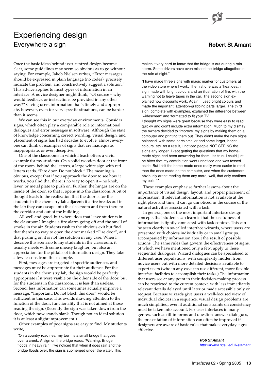## Experiencing design Everywhere a sign **Robert St Amant**

Once the basic ideas behind user-centred design become clear, some guidelines may seem so obvious as to go without saying. For example, Jakob Nielsen writes, "Error messages should be expressed in plain language (no codes), precisely indicate the problem, and constructively suggest a solution." This advice applies to most types of information in an interface. A novice designer might think, "Of course – why would feedback or instructions be provided in any other way?" Giving users information that's timely and appropriate, however, even for very specific situations, can be harder than it seems.

We can see this in our everyday environments. Consider signs, which often play a comparable role to informational dialogues and error messages in software. Although the state of knowledge concerning correct wording, visual design, and placement of signs has had decades to evolve, almost everyone can think of examples of signs that are inadequate, inappropriate, or even deceptive.

One of the classrooms in which I teach offers a vivid example for my students. On a solid wooden door at the front of the room, behind the lectern, a large white sign with red letters reads, "Fire door. Do not block." The meaning is obvious, except that if you approach the door to see how it works, you find that there is no way to open it – no knob, lever, or metal plate to push on. Further, the hinges are on the inside of the door, so that it opens into the classroom. A bit of thought leads to the realization that the door is for the students in the chemistry lab adjacent; if a fire breaks out in the lab they can escape into the classroom and from there to the corridor and out of the building.

All well and good, but where does that leave students in the classroom? Imagine a fire alarm going off and the smell of smoke in the air. Students rush to the obvious exit but find that there's no way to open the door marked "Fire door", and that pushing on it is not the solution in any case. When I describe this scenario to my students in the classroom, it usually meets with some uneasy laughter, but also an appreciation for the pitfalls of information design. They take a few lessons from this example.

First, messages are targeted at specific audiences, and messages must be appropriate for their audience. For the students in the chemistry lab, the sign would be perfectly appropriate if it were visible on the other side of the door, but for the students in the classroom, it is less than useless. Second, less information can sometimes actually improve a message: "Important: Do not block this door" would be sufficient in this case. This avoids drawing attention to the function of the door, functionality that is not aimed at those reading the sign. (Recently the sign was taken down from the door, which now stands blank. Though not an ideal solution it is at least a slight improvement.)

Other examples of poor signs are easy to find. My students write,

"On a country road near my town is a small bridge that goes over a creek. A sign on the bridge reads, 'Warning: Bridge floods in heavy rain.' I've noticed that when it does rain and the bridge floods over, the sign is submerged under the water. This



makes it very hard to know that the bridge is out during a rain storm. Some drivers have even missed the bridge altogether in the rain at night."

"I have made three signs with magic marker for customers at the video store where I work. The first one was a 'heat death' sign made with bright colours and an illustration of fire, with the warning not to leave tapes in the car. The second sign explained how discounts work. Again, I used bright colours and made the important, attention-grabbing parts larger. The third sign, complete with examples, explained the difference between 'widescreen' and 'formatted to fit your TV.'

I thought my signs were great because they were easy to read quickly and didn't include extra information. Much to my dismay, the owners decided to 'improve' my signs by making them on a computer and printing them out. They didn't make the new signs balanced, with some parts smaller and some larger, bright colours, etc. As a result, I noticed people NOT SEEING the signs any longer. I kept getting the questions that my homemade signs had been answering for them. It's true, I could just be bitter that my contribution went unnoticed and was tossed aside. But I felt the home-made ones really were easier to read than the ones made on the computer, and when the customers obviously aren't reading them any more, well, that only confirms my belief."

These examples emphasise further lessons about the importance of visual design, layout, and proper placement of information. If relevant information is not available at the right place and time, it can go unnoticed in the course of the natural activities associated with a task.

In general, one of the most important interface design concepts that students can learn is that the usefulness of information is tightly connected with task context. This can be seen clearly in so-called interface wizards, where users are presented with choices individually or in small groups, accompanied by information about the result of possible actions. The same rules that govern the effectiveness of signs, of which we have mentioned only a few, apply to these sequential dialogues. Wizard dialogues can be specialised to different user populations, with complexity hidden from novice users but with more detailed decisions available to expert users (who in any case can use different, more flexible interface facilities to accomplish their tasks.) The information that users see at any point in their decision-making process can be restricted to the current context, with less immediately relevant details delayed until later or made accessible only on request. Because wizards give users a well-focused view of individual choices in a sequence, visual design problems are much simplified, even if additional constraints on consistency must be taken into account. For user interfaces in many genres, such as fill-in forms and question–answer dialogues, the presentation of information can often be improved if designers are aware of basic rules that make everyday signs effective.

> **Rob St Amant** [http://www4.ncsu.edu/~stamant](http://www4.ncsu.edu/~stamant/)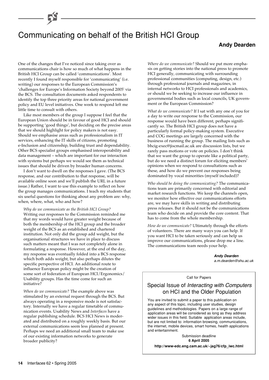# Communicating on behalf of the British HCI Group

### **Andy Dearden**

One of the changes that I've noticed since taking over as communications chair is how so much of what happens in the British HCI Group can be called 'communications'. Most recently I found myself responsible for 'communicating' (i.e. writing) our responses to the European Commission's 'challenges for Europe's Information Society beyond 2005' via the BCS. The consultation documents asked respondents to identify the top three priority areas for national government policy and EU level initiatives. One week to respond left me little time to consult with others.

Like most members of the group I suppose I feel that the European Union should be in favour of good HCI and should be supporting 'good things', but deciding on the precise areas that we should highlight for policy makers is not easy. Should we emphasise areas such as professionalism in IT services, enhancing the IT skills of citizens, promoting e-Inclusion and citizenship, building trust and dependability. Other BCS specialist groups emphasised interoperability and data management – which are important for our interaction with systems but perhaps we would see them as technical issues that should be driven by broader human concerns.

I don't want to dwell on the responses I gave. (The BCS response, and our contribution to that response, will be available online soon and we'll publish the URL in a future issue.) Rather, I want to use this example to reflect on how the group manages communications. I teach my students that six useful questions for thinking about any problem are: why, when, where, what, who and how?

*Why do we communicate as the British HCI Group?* Writing our responses to the Commission reminded me that my words would have greater weight because of both the membership of the HCI group and the broader weight of the BCS as an established and chartered institution. Not only did the group add weight, but the organisational structures we have in place to discuss such matters meant that I was not completely alone in formulating a response. However, at the end of the day, my response was eventually folded into a BCS response which both adds weight, but also perhaps dilutes the specific perspective of HCI. An additional route to influence European policy might be the creation of some sort of federation of European HCI/Ergonomics/ Usability groups. Has the time come for such an initiative?

*When do we communicate?* The example above was stimulated by an external request through the BCS. But always operating in a responsive mode is not satisfactory. Internally we have a regular timetable of communication events. Usability News and *Interfaces* have a regular publishing schedule. BCS HCI News is moderated and distributed on a roughly weekly basis. But our external communications seem less planned at present. Perhaps we need an additional small team to make use of our existing information networks to generate broader publicity?

*Where do we communicate?* Should we put more emphasis on getting stories into the national press to promote HCI generally, communicating with surrounding professional communities (computing, design, etc.) through professional journals and magazines, in internal networks to HCI professionals and academics, or should we be seeking to increase our influence in governmental bodies such as local councils, UK government or the European Commission?

*What do we communicate?* If I sat with any one of you for a day to write our response to the Commission, our response would have been different, perhaps significantly so. The British HCI group does not have a particularly formal policy-making system. Executive and COG meetings are largely concerned with the business of running the group. The mailing lists such as bhcig-exec@jiscmail.ac.uk are discussion lists, but we rarely pass motions or vote on policies. I don't think that we want the group to operate like a political party, but do we need a distinct forum for eliciting members' opinions when we respond to consultations such as these, and how do we prevent our responses being dominated by vocal minorities (myself included)?

*Who should be doing the communicating?* The communications team are primarily concerned with editorial and market research functions. We keep the channels open, we monitor how effective our communications efforts are, we may have skills in writing and distributing press releases. But it should not be the communications team who decide on and provide the core content. That has to come from the whole membership.

*How do we communicate?* Ultimately through the efforts of volunteers. There are many ways you can help. If you want HCI to be taken seriously and can help us improve our communications, please drop me a line. The communications team needs your help.

> **Andy Dearden** a.m.dearden@shu.ac.uk

Call for Papers

## Special Issue of Interacting with Computers on HCI and the Older Population

You are invited to submit a paper to this publication on any aspect of this topic, including user studies, design guidelines and methodologies. Papers on a large range of application areas will be considered as long as they address wider issues in this field. Suitable application areas include, but are not limited to: information browsing, communications, the internet, mobile devices, smart homes, health applications and entertainment.

Submission deadline **6 April 2005 http://www-edc.eng.cam.ac.uk/~jag76/cfp\_iwc.html**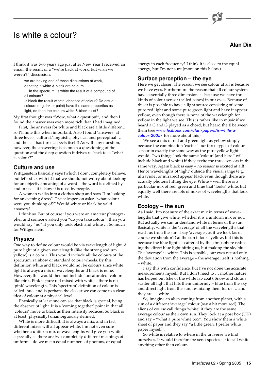## Is white a colour?



**Alan Dix**

I think it was two years ago just after New Year I received an email, the result of a "we're back at work, but wish we weren't" discussion.

we are having one of those discussions at work, debating if white & black are colours.

… In the spectrum, is white the result of a compound of all colours?

Is black the result of total absence of colour? Do actual colours (e.g. ink or paint) have the same properties as light, do then the colours white & black exist?

My first thought was "Wow, what a question!", and then I found the answer was even more rich than I had imagined.

First, the answers for white and black are a little different, so I'll note this when important. Also I found 'answers' at three levels: cultural/linguistic, physical and perceptual … and the last has three aspects itself!! As with any question, however, the answering is as much a questioning of the question and the deep question it drives us back to is "what is colour?"

## **Culture and use**

Wittgenstein basically says (which I don't completely believe, but let's stick with it) that we should not worry about looking for an objective meaning of a word – the word is defined by and in use – it is how it is used by people.

A woman walks into a clothes shop and says "I'm looking for an evening dress". The salesperson asks: "what colour were you thinking of?" Would white or black be valid answers?

I think so. But of course if you were an amateur photographer and someone asked you "do you take colour", then you would say "no" if you only took black and white … So much for Wittgenstein.

### **Physics**

One way to define colour would be via wavelength of light. A pure light of a given wavelength (like the strong sodium yellow) is a colour. This would include all the colours of the spectrum, rainbow or standard colour wheels. By this definition white and black would not be colours since white light is always a mix of wavelengths and black is none. However, this would then not include 'unsaturated' colours like pink. Pink is pure red mixed with white – there is no 'pink' wavelength. This 'spectrum' definition of colour is called 'hue' and is perhaps the closest we can come to a clear idea of colour at a physical level.

Physically at least one can see that black is special, being the absence of light. It is a 'coming together' point in that all 'colours' move to black as their intensity reduces. So black is at least (physically) unambiguously defined.

White is more difficult. It is always a mix, and in fact different mixes will all appear white. I'm not even sure whether a uniform mix of wavelengths will give you white – especially as there are two completely different meanings of uniform – do we mean equal numbers of photons, or equal

energy in each frequency? I think it is close to the equal energy, but I'm not sure (more on this below).

### **Surface perception – the eye**

Here we get closer. The reason we see colour at all is because we have eyes. Furthermore the reason that all colour systems have essentially three dimensions is because we have three kinds of colour sensor (called cones) in our eyes. Because of this it is possible to have a light source consisting of some pure red light and some pure green light and have it appear yellow, even though there is none of the wavelength for yellow in the light we see. This is rather like in music if we heard a C and G played as a chord, but heard the E between them (see [www.hcibook.com/alan/papers/is-white-a](www.hcibook.com/alan/papers/is-white-a-colour-2005/)colour-2005/ for more about this).

We see a mix of red and green light as yellow simply because the combination 'excites' our three types of colour sensor in exactly the same way as the pure yellow light would. Two things look the same 'colour' (and here I will include black and white) if they excite the three sensors in the same way. Again black is easy – no sensor is excited at all! Hence wavelengths of 'light' outside the visual range (e.g. ultraviolet or infrared) appear black even though there are actually photons hitting the eye. White – well there is a particular mix of red, green and blue that 'looks' white, but equally well there are lots of mixes of wavelengths that look white.

### **Ecology – the sun**

As I said, I'm not sure of the exact mix in terms of wavelengths that give white, whether it is a uniform mix or not. But actually we can understand white in terms of the sun. Basically, white is the 'average' of all the wavelengths that reach us from the sun. I say 'average', as if we look (as of course we shouldn't) at the sun it looks yellow, but this is because the blue light is scattered by the atmosphere reducing the direct blue light hitting us, but making the sky blue. The 'average' is white. This is sensible, our eyes record only the deviation from the average – the average itself is nothing – white.

I say this with confidence, but I've not done the accurate measurements myself. But I don't need to … mother nature has helped out (she of the white lab coat). Snow and clouds scatter all light that hits them uniformly – blue from the sky and direct light from the sun, re-mixing them for us … and they are … white.

So, imagine an alien coming from another planet, with a sun of a different 'average' colour (say a bit more red). The aliens of course call things 'white' if they are the same average colour as their own sun. They look at a post box (UK) and say – "what a pure white box". You show them a white sheet of paper and they say "a little green, I prefer white paper myself".

So white is relative to where in the universe we find ourselves. It would therefore be xeno-species-ist to call white anything other than colour.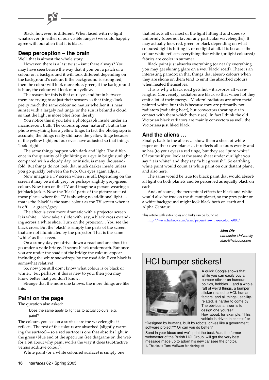Black, however, is different. When faced with no light whatsoever (in either of our visible ranges) we could happily agree with our alien that it is black.

## **Deep perception – the brain**

Well, that is almost the whole story.

However, there is a last twist – isn't there always? You may have seen before the way that if you put a patch of a colour on a background it will look different depending on the background's colour. If the background is strong red, then the colour will look more blue/green; if the background is blue, the colour will look more yellow.

The reason for this is that our eyes and brain between them are trying to adjust their sensors so that things look pretty much the same colour no matter whether it is near sunset with a largely red tinge, or the sun is behind a cloud so that the light is more blue from the sky.

You notice this if you take a photograph inside under an incandescent bulb. The colours appear 'natural' , but in the photo everything has a yellow tinge. In fact the photograph is accurate, the things really did have the yellow tinge because of the yellow light, but our eyes have adjusted so that things 'look' right.

The same things happen with dark and light. The difference in the quantity of light hitting our eye in bright sunlight compared with a cloudy day, or inside, is many thousandfold. But things do not look that much darker inside unless you go quickly between the two. Our eyes again adjust.

Now imagine a TV screen when it is off. Depending on the screen it may be a dull grey, or perhaps slightly grey-green, colour. Now turn on the TV and imagine a person wearing a jet black jacket. Now the 'black' parts of the picture are just those places where the TV is showing no additional light … that is the 'black' is the same colour as the TV screen when it is off … a green/grey.

The effect is even more dramatic with a projector screen. It is white… Now take a slide with, say, a black cross extending across a white slide. Turn on the projector… You see the black cross. But the 'black' is simply the parts of the screen that are not illuminated by the projector. That is the same 'white' as the screen.

On a sunny day you drive down a road and are about to go under a wide bridge. It seems black underneath. But once you are under the shade of the bridge the colours appear – including the white snowdrops by the roadside. Even black is somewhat relative!

So, now you still don't know what colour is or black or white… but perhaps, if this is new to you, then you may know better that you don't know.

Strange that the more one knows, the more things are like this.

## **Paint on the page**

The question also asked:

Does the same apply to light as to actual colours, e.g. paint?

The colours you see on a surface are the wavelengths it reflects. The rest of the colours are absorbed (slightly warming the surface) – so a red surface is one that absorbs light in the green/blue end of the spectrum (see diagrams on the web for a bit about why paint works the way it does (subtractive versus additive colour).

White paint (or a white coloured surface) is simply one

that reflects all or most of the light hitting it and does so uniformly (does not favour any particular wavelengths). It may actually look red, green or black depending on what coloured light is hitting it, or no light at all. It is because the colour white reflects everything that white (or light coloured) fabrics are cooler in summer.

Black paint just absorbs everything (or nearly everything, you may get shining glare on a wet 'black' road). There is an interesting paradox in that things that absorb colours when they are shone on them tend to emit the absorbed colours when heated themselves.

This is why a black road gets hot – it absorbs all wavelengths. Conversely, radiators are black so that when hot they emit a lot of their energy. 'Modern' radiators are often metal painted white, but this is because they are primarily not radiators (radiating heat), but convectors (heating air in contact with them which then rises). In fact I think the old Victorian black radiators are mainly convectors as well, the Victorians just liked black.

### **And the aliens …**

Finally, back to the aliens … show them a sheet of white paper on their own planet … it reflects all colours evenly and so has (to your eyes) a red tinge, but they see "pure white". Of course if you look at the same sheet under our light you say "it is white" and they say "a bit greenish". So earthling white paint would count as white paint on our distant planet and also here.

The same would be true for black paint that would absorb all light on both planets and be perceived as equally black on each.

And, of course, the perceptual effects for black and white would also be true on the distant planet, so the grey paint on a white background might look black both on earth and Alpha Centauri.

This article with extra notes and links can be found at <http://www.hcibook.com/alan/papers/is-white-a-colour-2005/>

> **Alan Dix** Lancaster University alan@hcibook.com

## HCI bumper stickers!



A quick Google shows that while you can easily buy a bumper sticker on humour, politics, hobbies… and a whole raft of weird things, a bumper sticker related to HCI, human factors, and all things usabilityrelated, is harder to come by. The obvious answer is to design one yourself. How about, for example, "This

vehicle is driven in context" or "Designed by humans, built by robots, drives like a government

software project"1 ? Or can you do better?

Send in your ideas and we'll print the best. Vas, the former webmaster of the British HCI Group, will get the very best message made up to adorn his new car (see the photo). 1. Thanks to Tom McEwan for kicking off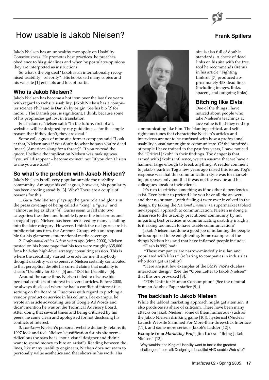# How usable is Jakob Nielsen? **Frank Spillers** Frank Spillers

Jakob Nielsen has an unhealthy monopoly on Usability Consciousness. He promotes best practices, he preaches obedience to his guidelines and when he postulates opinions they are interpreted as instructions.

So what's the big deal? Jakob is an internationally recognised usability "celebrity". His books sell many copies and his website [1] gets lots and lots of traffic.

### **Who is Jakob Nielsen?**

Jakob Nielsen has become a hot item over the last five years with regard to website usability. Jakob Nielsen has a computer science PhD and is Danish by origin. See his bio [2] for more… The Danish part is significant, I think, because some of his prophecies get lost in translation.

For instance, Nielsen said: "In the future, first of all, websites will be designed by my guidelines ... for the simple reason that if they don't, they are dead."

Some colleagues of mine at a former company said "Look at that, Nielsen says if you don't do what he says you're dead [meat] (American slang for a threat)". If you re-read the quote, I believe the implication Nielsen was making was "you will disappear – become extinct" not "if you don't listen to me you are toast".

### **So what's the problem with Jakob Nielsen?**

Jakob Nielsen is still very popular outside the usability community. Amongst his colleagues, however, his popularity has been eroding steadily [3]. Why? There are a couple of reasons for this.

1. *Guru Role* Nielsen plays up the guru role and gloats in the press coverage of being called a "king" a "guru" and "almost as big as Elvis"[4]. Gurus seem to fall into two categories: the silent and humble type or the boisterous and arrogant type. Nielsen has been perceived by many as falling into the later category. However, I think the real gurus are his public relations firm, the Antenna Group, who are responsible for his glamorous international media coverage.

2. *Professional ethics* A few years ago (circa 2000), Nielsen posted on his home page that his fees were roughly \$35,000 for a half-day high-level strategy consulting session. This is where the credibility started to erode for me. If anybody thought usability was expensive, Nielsen certainly contributed to that perception despite his current claims that usability is cheap: "Usability for \$200" [5] and "ROI for Usability" [6].

Around the same time, Nielsen failed to disclose his personal conflicts of interest in several articles. Before 2000, he always disclosed where he had a conflict of interest (i.e. serving on the Board of Directors) with regard to pitching a vendor product or service in his column. For example, he wrote an article advocating use of Google AdWords and didn't mention he was on the Technical Advisory Board. After doing that several times and being criticised by his peers, he came clean and apologised for not disclosing his conflicts of interest.

3. *Useit.com* Nielsen's personal website defiantly retains its 1997 look and feel. Nielsen's justification for his site seems ridiculous (he says he is "not a visual designer and didn't want to spend money to hire an artist"). Reading between the lines, like many usability engineers, Nielsen does not seem to personally value aesthetics and that shows in his work. His



site is also full of double standards. A check of dead links on his site with the free tool he recommends (Xenu) in his article "Fighting Linkrot"[7] produced approximately 458 dead links (including images, links, spacers, and outgoing links).

#### **Bitching like Elvis**

One of the things I have noticed about people who take Nielsen's teachings at face value is that they end up

communicating like him. The blaming, critical, and selfrighteous tones that characterise Nielsen's articles and interviews are not to be confused with how a professional usability consultant ought to communicate. Of the hundreds of people I have trained in the past few years, I have noticed the "Critical Jakob" in their findings. The danger is that armed with Jakob's influence, we can assume that we have a hammer large enough to break anything. A reader comment to Jakob's partner Tog a few years ago raised this issue. Tog's response was that this communication style was for marketing purposes only and that it was not the way he and his colleagues speak to their clients.

It's rich to criticise something as if no other dependencies exist. Even better to pretend like you have all the answers and that no humans (with feelings) were ever involved in the design. By taking the *National Enquirer* (a supermarket tabloid newspaper) approach to communication, Nielsen is doing a disservice to the usability practitioner community by not imparting best practices in communicating usability insights. Is it asking too much to have usable communication?

Jakob Nielsen has done a good job of inflaming the people he is supposed to be enlightening. Some examples of the things Nielsen has said that have inflamed people include:

"Flash is 99% bad"

 "These companies are narrow-mindedly insular, and populated with lifers." (referring to companies in industries who don't get usability)

"Here are just few examples of the BMW 745i's clueless interaction design" (See the "Open Letter to Jakob Nielsen" that this one provoked [8].)

"PDF: Unfit for Human Consumption" (See the rebuttal from an Adobe ePaper staffer [9].)

## **The backlash to Jakob Nielsen**

While the tabloid marketing approach might get attention, it also produces its share of criticism. There have been many attacks on Jakob Nielsen, some of them humorous (such as the Jakob Nielsen drinking game [10]), hysterical (Nuclear Launch Website Slammed For More-than-three-click Interface [11]), and some more serious (Jakob's Ladder [12]).

**Example from** *Marketing Profs*, Jim Kukral: "Being Jakob Nielsen" [13]:

Why wouldn't the King of Usability want to tackle the greatest challenge of them all: Designing a beautiful AND usable Web site?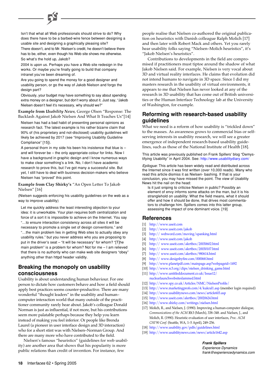Isn't that what all Web professionals should strive to do? Why does there have to be a barbed-wire fence between designing a usable site and designing a graphically pleasing site?

There doesn't, and to Mr. Nielsen's credit, he doesn't believe there has to be, either, even though his Web site shows me otherwise. So what's the hold up, Jakob?

2004 is upon us. Perhaps you have a Web site redesign in the works. Or maybe you're finally going to build that company intranet you've been dreaming of.

Are you going to spend the money for a good designer and usability person, or go the way of Jakob Nielson and forgo the design part?

Obviously, your budget may have something to say about spending extra money on a designer, but don't worry about it. Just say, "Jakob Nielsen doesn't feel it's necessary, why should we?"

**Example from** *Usability News*, George Olsen "Response: The Backlash Against Jakob Nielsen And What It Teaches Us"[14]

Nielsen has had a bad habit of presenting personal opinions as research fact. The latest example is his rather bizarre claim that 90% of (his proprietary and not-disclosed) usability guidelines will likely be achieved by 2017 (see "Improving Usability Guideline Compliance" [15]).

A personal thorn in my side his been his insistence that blue is – and will forever be – the only appropriate colour for links. Now I have a background in graphic design and I know numerous ways to make clear something's a link. No, I don't have academic research to prove this, but I've got many a successful site. But yet, I still have to deal with business decision-makers who believe Nielsen has "proved" this point.

#### **Example from Clay Shirky's** "An Open Letter To Jakob Nielsen" [16]

(Nielsen suggests enforcing his usability guidelines on the web as a way to improve usability)

Let me quickly address the least interesting objection to your idea: it is unworkable. Your plan requires both centralization and force of a sort it is impossible to achieve on the Internet. You say "…to ensure interaction consistency across all sites it will be necessary to promote a single set of design conventions." and "…the main problem lies in getting Web sites to actually obey any usability rules." but you never address who you are proposing to put in the driver's seat – "it will be necessary" for whom? "[T]he main problem" is a problem for whom? Not for me – I am relieved that there is no authority who can make web site designers "obey" anything other than httpd header validity.

## **Breaking the monopoly on usability consciousness**

Usability is about understanding human behaviour. For one person to dictate how customers behave and how a field should apply best practices seems counter-productive. There are many wonderful "thought leaders" in the usability and human– computer interaction world that many outside of the practitioner community rarely hear about. Jakob's colleague Donald Norman is just as influential, if not more, but his contributions seem more palatable perhaps because they help you learn instead of making you feel inferior. Or people like Brenda Laurel (a pioneer in user interface design and 3D interaction) who for a short stint was with Nielsen–Norman Group. And there are many more who have contributed to the field.

Nielsen's famous "heuristics" (guidelines for web usability) are another area that shows that his popularity is more public relations than credit of invention. For instance, few

people realise that Nielsen co-authored the original publication on heuristics with Danish colleague Ralph Molich [17] and then later with Robert Mack and others. Yet you rarely hear usability folks saying "Nielsen–Molich heuristics", it's "Jakob Nielsen's heuristics".

Contributions to developments in the field are compromised if practitioners must tiptoe around the shadow of what Jakob Nielsen said. For example, Nielsen is very vocal about 3D and virtual reality interfaces. He claims that evolution did not intend humans to navigate in 3D space. Since I did my masters research in the usability of virtual environments, it appears to me that Nielsen has never looked at any of the research in 3D usability that has come out of British universities or the Human Interface Technology lab at the University of Washington, for example.

## **Reforming with research-based usability guidelines**

What we need is a reform of how usability is "trickled down" to the masses. As awareness grows to commercial bias or selfserving interests in usability research, we will see a greater emergence of independent research-based usability guidelines, such as those of the National Institute of Health [18].

This article was previously published on Frank Spillers' blog "Demystifying Usability" in April 2004. See:<http://www.usabilitydiary.com/>

Epilogue: This article has been widely read and distributed across the Internet since it was first written (over 10,000 reads). Many who read this article dismiss it as Nielsen- bashing. If that is your conclusion, you may have missed the point. The view of Usability News hit the nail on the head:

Is it just sniping to criticise Nielsen in public? Possibly an element of envy informs some attacks on the man, but it is his stranglehold on usability: What the field means, what it should offer and how it should be done, that drives most commentators to challenge him. Spillers comes into this latter group, assessing the impact of one dominant voice. [19]

## **References**

- [1] [http://www.useit.com](http://www.useit.com/)
- [2] [http://www.useit.com/jakob](http://www.useit.com/jakob/)
- [3] http:// [webword.com/moving/spanking.html](http:// webword.com/moving/spanking.html)
- [4] [http://www.useit.com/jakob](http://www.useit.com/jakob/)
- [5] http:// [www.useit.com/alertbox/20030602.html](http:// www.useit.com/alertbox/20030602.html)
- [6] http:// [www.useit.com/alertbox/20030107.html](http:// www.useit.com/alertbox/20030107.html)
- [7] http:// [www.useit.com/alertbox/980614.html](http:// www.useit.com/alertbox/980614.html)
- [8] http:// [www.designbyfire.com/000068.html](http:// www.designbyfire.com/000068.html)
- [9] <http://www.planetpdf.com/mainpage.asp?webpageid=1492>
- [10] [http://www.rc3.org/clips/nielsen\\_drinking\\_game.html](http://www.rc3.org/clips/nielsen_drinking_game.html) [11] [http://www.untitleddocument.co.uk/Issue12/](http://www.untitleddocument.co.uk/Issue12/nuclearlaunchwebsiteslammed.html) nuclearlaunchwebsiteslammed.html
- [12] <http://www.spy.co.uk/Articles/NMC/NielsenProfile/>
- [13] <http://www.marketingprofs.com/4/kukral1.asp> (member login required)
- [14] <http://www.usabilitynews.com/news/article603.asp>
- [15] <http://www.useit.com/alertbox/20020624.html>
- [16] <http://www.shirky.com/writings/nielsen.html>
- [17] Molich, R., and Nielsen, J. (1990). Improving a human-computer dialogue, *Communications of the ACM* **33**:3 (March), 338–348. and Nielsen, J., and Molich, R. (1990). Heuristic evaluation of user interfaces, *Proc. ACM CHI'90 Conf.* (Seattle, WA, 1–5 April), 249–256.
- [18] <http://www.usability.gov/pdfs/guidelines.html>
- [19] <http://www.usabilitynews.com/news/article1642.asp>

#### **Frank Spillers**

Experience Dynamics frank@experiencedynamics.com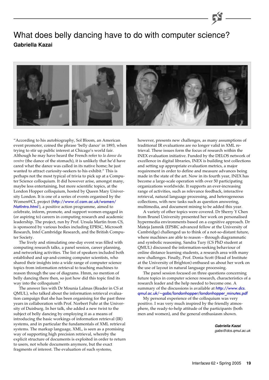## What does belly dancing have to do with computer science? **Gabriella Kazai**



"According to his autobiography, Sol Bloom, an American event promoter, coined the phrase 'belly dance' in 1893, when trying to stir up public interest at Chicago's world fair. Although he may have heard the French refer to *la danse du ventre* (the dance of the stomach), it is unlikely that he'd have cared what the dance was called in its native home; he just wanted to attract curiosity-seekers to his exhibit." This is perhaps not the most typical of trivia to pick up at a Computer Science colloquium. It did however arise, amongst many, maybe less entertaining, but more scientific topics, at the London Hopper colloquium, hosted by Queen Mary University London. It is one of a series of events organised by the Women@CL project (http://www.cl.cam.ac.uk/women/ Natlntro.html[\), a positive action programme, aimed to](http://www.cl.cam.ac.uk/women/NatIntro.html) celebrate, inform, promote, and support women engaged in (or aspiring to) careers in computing research and academic leadership. The project, run by Prof. Ursula Martin from CS, is sponsored by various bodies including EPRSC, Microsoft Research, Intel Cambridge Research, and the British Computer Society.

The lively and stimulating one-day event was filled with computing research talks, a panel session, career planning, and networking activities. The list of speakers included both established and up-and-coming computer scientists, who shared their insights into a wide range of computer science topics from information retrieval to teaching machines to reason through the use of diagrams. Hmm, no mention of belly dancing there then, so just how did this topic find its way into the colloquium?

The answer lies with Dr Mounia Lalmas (Reader in CS at QMUL), who talked about the information retrieval evaluation campaign that she has been organising for the past three years in collaboration with Prof. Norbert Fuhr at the University of Duisburg. In her talk, she added a new twist to the subject of belly dancing by employing it as a means of introducing the basic workings of information retrieval (IR) systems, and in particular the fundamentals of XML retrieval systems. The markup language, XML, is seen as a promising way of supporting high precision retrieval, whereby the explicit structure of documents is exploited in order to return to users, not whole documents anymore, but the exact fragments of interest. The evaluation of such systems,

however, presents new challenges, as many assumptions of traditional IR evaluations are no longer valid in XML retrieval. These issues form the focus of research within the INEX evaluation initiative. Funded by the DELOS network of excellence in digital libraries, INEX is building test collections and setting up appropriate evaluation metrics, a major requirement in order to define and measure advances being made in the state of the art. Now in its fourth year, INEX has become a large-scale operation with over 50 participating organizations worldwide. It supports an ever-increasing range of activities, such as relevance feedback, interactive retrieval, natural language processing, and heterogeneous collections, with new tasks such as question answering, multimedia, and document mining to be added this year.

A variety of other topics were covered. Dr Sherry Y Chen from Brunel University presented her work on personalised hypermedia environments based on a cognitive approach. Dr Mateja Jamnik (EPSRC advanced fellow at the University of Cambridge) challenged us to think of a not-so-distant future, where machines are able to reason – through diagrammatic and symbolic reasoning. Sandra Tury (CS PhD student at QMUL) discussed the information-seeking behaviour of online distance learning students, a research area with many new challenges. Finally, Prof. Donia Scott (Head of Institute at the University of Brighton) enthused us about her work on the use of layout in natural language processing.

The panel session focused on three questions concerning future topics in computer science research, characteristics of a research leader and the help needed to become one. A summary of the discussions is available at http://www.dcs. [qmul.ac.uk/~gabs/londonhopper/londonhopper\\_minutes.pdf](http://www.dcs.qmul.ac.uk/~gabs/londonhopper/londonhopper_minutes.pdf)

My personal experience of the colloquium was very positive. I was very much inspired by the friendly atmosphere, the ready-to-help attitude of the participants (both men and women), and the general enthusiasm shown.

> **Gabriella Kazai** gabs@dcs.qmul.ac.uk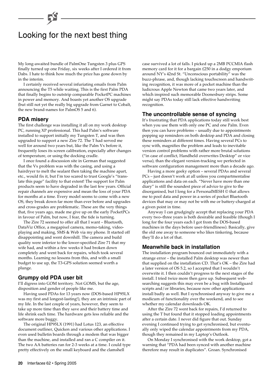# Looking for the next best thing

My long-awaited bundle of PalmOne Tungsten 3 plus GPS finally turned up one Friday, six weeks after I ordered it from Dabs. I hate to think how much the price has gone down by in the interim.

I certainly received several infuriating emails from Palm announcing the T5 while waiting. This is the first Palm PDA that finally begins to outstrip comparable PocketPC machines in power and memory. And boasts yet another OS upgrade (but still not yet the really big upgrade from Garnet to Cobalt, the new brand-names for PalmOS 5 and 6).

### **PDA misery**

The first challenge was installing it all on my work desktop PC, running XP professional. This had Palm's software installed to support initially my Tungsten T, and was then upgraded to support a new Zire 72. The T had served me well for around two years but, like the Palm Vx before it, frequently loses its screen calibration, especially after changes of temperature, or using the docking cradle.

I once found a discussion site in German that suggested that the Vx problem was with the casing, and using a hairdryer to melt the sealant then taking the machine apart, etc., would fix it, but I'm too scared to trust Google's "translate this page" facility to that extent! The support for Palm products seem to have degraded in the last few years. Official repair channels are expensive and mean the loss of your PDA for months at a time. Every model seems to come with a new OS, they break down far more than ever before and upgrades and cross-grades are problematic. These are the very things that, five years ago, made me give up on the early PocketPCs in favour of Palm, but now, I fear, the tide is turning.

The Zire 72 seemed to offer all that I want – Bluetooth, DataViz Office, a megapixel camera, memo-taking, videoplaying and making, SMS & Web via my phone. It started off disappointing and went downhill. The camera and build quality were inferior to the lower-specified Zire 71 that my wife had, and within a few weeks it had broken down completely and went back for repairs, which took several months. Learning no lessons from this, and with a small budget to use up, the T3-GPS solution seemed worth a plunge.

### **Grumpy old PDA user bit**

I'll digress into GOM territory. Not GOMS, but the age, disposition and gender of people like me.

Having used PDAs for 13 years now (DOS-based HP95LX was my first and longest-lasting!), they are an intrinsic part of my life. In the last couple of years, however, they seem to take up more time than they save and their battery time and life shrink each time. The hardware gets less reliable and the software more buggy.

The original HP95LX (1991) had Lotus 123, an effective document outliner, Quicken and various other applications. I even used bulletin boards through a modem that was bigger than the machine, and installed and ran a C compiler on it. The two AA batteries ran for 2-3 weeks at a time. I could type pretty effectively on the small keyboard and the clamshell

case survived a lot of falls. I picked up a 2MB PCCMIA flash memory card for it for a bargain £250 in a dodgy emporium around NY's 42nd St. "Unconscious portability" was the buzz-phrase, and, though lacking touchscreen and handwriting recognition, it was more of a pocket machine than the ludicrous Apple Newton that came two years later, and which inspired such memorable Doonesbury strips. Some might say PDAs today still lack effective handwriting recognition.

### **The uncontrollable sense of syncing**

It's frustrating that PDA applications today still work best when you use them with only one PC and one Palm. Even then you can have problems – usually due to appointments popping up reminders on both desktop and PDA and closing these reminders at different times. Having several PCs to sync with, magnifies the problem and leads to inevitable version control problems with rather more brutal solutions ("in case of conflict, Handheld overwrites Desktop" or vice versa), than the elegant version-tracking we perfected in software configuration management more than a decade ago.

Having a more geeky option – several PDAs and several PCs – just doesn't work at all unless you compartmentalise applications and data on each. "Never have more than one diary" is still the soundest piece of advice to give to the disorganised, but I long for a PersonalMESH © that allows me to pool data and power in a series of pocket Bluetooth devices that may or may not be with me or battery-charged at a given point in time.

Anyway I can grudgingly accept that replacing your PDA every two–three years is both desirable and feasible (though I long for the four years each I got from the DOS-based machines in the days before user-friendliness). Basically, give the old one away to someone who likes tinkering, because they'll do a lot of that.

### **Meanwhile back in installation**

The installation program bounced out immediately with a strange error – the installed Palm desktop was newer than that supplied on the installation CD. That's OK – the Zire had a later version of OS 5.2, so I accepted that I wouldn't overwrite it. I then couldn't progress to the next stages of the install. I tried twice more then gave up. Subsequent websearching suggests this may even be a bug with Installguard scripts and/or libraries, because now other applications install badly as well. But I synchronised anyway to give me a modicum of functionality over the weekend, and to see whether my calendar downloads OK.

After the Zire 72 went back for repairs, I'd returned to using the T but found that it stopped loading appointments after a certain date. I never did figure that out. Sunday evening I continued trying to get synchronised, but eventually only wiped the calendar appointments from my PDA, though they remained in my Laptop's Outlook.

On Monday I synchronised with the work desktop, got a warning that "PDA had been synced with another machine therefore may result in duplicates". Groan. Synchronised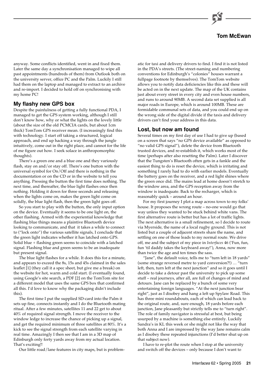

### **Tom McEwan**

anyway. Some conflicts identified, went in and fixed them. Later the same day a synchronisation managed to wipe all past appointments (hundreds of them) from Outlook both on the university server, office PC and the Palm. Luckily I still had them on the laptop and managed to extract to an archive and re-import. I decided to hold off on synchronising with my home PC!

## **My flashy new GPS box**

Despite the painfulness of getting a fully functional PDA, I managed to get the GPS system working, although I still don't know how, why or what the lights on the lovely little (about the size of the old PCMCIA cards, but about 1cm thick) TomTom GPS receiver mean. (I increasingly find this with technology. I start off taking a structured, logical approach, and end up hacking a way through the jungle intuitively, come out in the right place, and cannot for the life of me figure out how. I seek solace in anthropomorphic thoughts).

There's a green one and a blue one and they variously flash, stay on and/or stay off. There's one button with the universal symbol for On/Off and there is nothing in the documentation or on the CD or in the website to tell you anything. Pressing the button the first time does nothing. The next time, and thereafter, the blue light flashes once then nothing. Holding it down for three seconds and releasing when the lights come on, makes the green light come on solidly, the blue light flash, then the green light goes off.

So you start to play with the button, the only input option on the device. Eventually it seems to be one light on, the other flashing. Armed with the experiential knowledge that flashing blue things means a plaintive Bluetooth device looking to communicate, and that it takes a while to connect to ("lock onto") the various satellite signals, I conclude that the green light indicates whether it has latched onto GPS. Solid blue + flashing green seems to coincide with a latched signal. Flashing blue and green seems to be an inadequate but present signal.

The blue light flashes for a while. It does this for a minute, and appears to exceed the 8s, 15s and 45s claimed in the sales leaflet [1] (they call it a spec sheet, but give me a break) on the website for hot, warm and cold start. (I eventually found, using Google's site search, a PDF [2] on the TomTom site for a different model that uses the same GPS box that confirmed all this. I'd love to know why the packaging didn't include this).

The first time I put the supplied SD-card into the Palm it sets up fine, connects instantly and I do the Bluetooth mating ritual. After a few minutes, satellites 11 and 22 get to about 40% of required signal strength. I move the receiver to the window ledge to increase the chance of picking up a signal, and get the required minimum of three satellites at 80%. It's a kick to see the signal strength from each satellite varying in real time. Amazingly I then see that I am in a 3D map of Edinburgh only forty yards away from my actual location. That's exciting!!

Our little road/lane features in city maps, but is problem-

atic for taxi and delivery drivers to find. I find it is not listed in the PDA's streets. (The street-naming and numbering conventions for Edinburgh's "colonies" houses warrant a fullpage footnote by themselves). The TomTom website allows you to notify data deficiencies like this and these will be acted on in the next update. The map of the UK contains just about every street in every city and even house numbers, and runs to around 90MB. A second data set supplied is all major roads in Europe, which is around 100MB. These are formidable communal sets of data, and you could end up on the wrong side of the digital divide if the taxis and delivery drivers can't find your address in this data.

## **Lost, but now am found**

Several times on my first day of use I had to give up (based on a screen that says "no GPS device available" as opposed to "no valid GPS signal"), delete the device from Bluetooth trusted devices, and re-establish it, which works most of the time (perhaps after also resetting the Palm). Later I discover that the Tungsten's Bluetooth often gets in a fankle and the easiest thing to do is reset the device, which is irritating and something I rarely had to do with earlier models. Eventually the battery goes on the receiver, and a red light shines where the green once did. The mains lead at home doesn't stretch to the window area, and the GPS reception away from the window is inadequate. Back to the recharger, which is reasonably quick – around an hour.

For my first journey I plot a map across town to my folks' house. It proposes the wrong route – no-one would go that way unless they wanted to be stuck behind white vans. The first alternative route is better but has a lot of traffic lights. The next alternative is a small refinement, so I decide to route via Myerside, the name of a local rugby ground. This is not listed but a couple of adjacent streets share the name, and settling on one of those leads to my normal route. We drive off, me and the subject of my piece in *Interfaces* 46 ('Fun, fun, fun 'til daddy takes the keyboard away!'), Anna, now more than twice the age and ten times the sass.

"Jane", the default voice, tells me to "turn left in 18 yards" (some strange reversed metre to yard conversion?!) … "turn left, then, turn left at the next junction" and so it goes until I decide to take a detour past the university to pick up some stuff – real journeys, after all, are full of changes of mind and detours. Jane can be replaced by a bunch of some very entertaining foreign languages. "At the next junction bear right", just as I disobey and hang a left up Spylaw Road. This has three mini roundabouts, each of which can lead back to the original route, and, sure enough, 18 yards before each junction, Jane pleasantly but strictly tells me to "turn right". The role of family navigator is stressful at best, but being usurped by a machine is something else entirely. Luckily Sandra's in KL this week or she might not like the way that both Anna and I are impressed by the way Jane remains calm as I disobey these repeated injunctions (I'd better shut up on that subject now).

I have to re-plot the route when I stop at the university and switch off the devices – only because I don't want to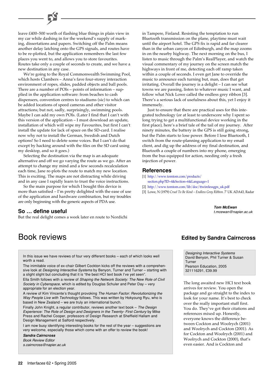leave £400–500 worth of flashing blue things in plain view in my car while dashing in for the weekend's supply of marking, dissertations and papers. Switching off the Palm means another delay latching onto the GPS signals, and routes have to be re-plotted, but the application remembers the last few places you went to, and allows you to store favourites. Routes take only a couple of seconds to create, and we have a new destination in any case.

We're going to the Royal Commonwealth Swimming Pool, which hosts Clambers – Anna's fave four-storey interaction environment of ropes, slides, padded objects and ball pools. There are a number of POIs – points of information – supplied in the application software: from beaches to cash dispensers, convention centres to stadiums (sic) to which can be added locations of speed cameras and other visitor attractions; but not, sadly, surprisingly, swimming pools. Maybe I can add my own POIs. (Later I find that I can't with this version of the application – I must download an update, installation of which will wipe my Favourites, but first I can't install the update for lack of space on the SD-card. I realise now why not to install the German, Swedish and Dutch options! So I need to delete some voices. But I can't do that except by hacking around with the files on the SD card using my desktop, and so it goes.)

Selecting the destination via the map is an adequate alternative and off we go varying the route as we go. After an attempt to change my mind and a few seconds recalculation each time, Jane re-plots the route to match my new location. This is exciting. The maps are not distracting while driving and in any case I rapidly learn to trust the voice instructions.

So the main purpose for which I bought this device is more than satisfied – I'm pretty delighted with the ease of use of the application and hardware combination, but my troubles are only beginning with the generic aspects of PDA use.

## **So … define useful**

But the real delight comes a week later en route to Nordichi

in Tampere, Finland. Resisting the temptation to run Bluetooth transmission on the plane, playtime must wait until the airport hotel. The GPS fix is rapid and far clearer than in the urban canyon of Edinburgh, and the map zooms in on the nearby highway. The next morning on the bus, I listen to music through the Palm's RealPlayer, and watch the visual commentary of my journey on the screen match the highways in front of me, detecting each off ramp taken within a couple of seconds. I even get Jane to override the music to announce each turning but, man, does that get irritating. Overall the journey is a delight – I can see what towns we are passing, listen to whatever music I want, and follow what Nick Lowe called the endless grey ribbon [3]. There's a serious lack of usefulness about this, yet I enjoy it immensely.

Just to ensure that there are practical uses for this integrated technology (or at least to underscore why I spent so long trying to get a multifunctional device working in the first place), here's a brief tale of the tail of my journey. After ninety minutes, the battery in the GPS is still going strong, but the Palm starts to lose power. Before I lose Bluetooth, I switch from the route-planning application to my email client, and dig up the address of my final destination, and Bluetooth a couple of numbers into my phone, emerging from the bus equipped for action, needing only a fresh injection of power.

## **References**

- [1] http://www.tomtom.com/products/
- [section.php?ID=4&Section=6&Language=1](http://www.tomtom.com/products/section.php?ID=4&Section=6&Language=1)
- [2] [http://www.tomtom.com/lib/doc/ttwirelessgps\\_uk.pdf](http://www.tomtom.com/lib/doc/ttwirelessgps_uk.pdf)
- [3] Lowe, N (1979) *Cruel To Be Kind Endless Grey Ribbon*. 7' UK ADA43, Radar

**Tom McEwan** t.mcewan@napier.ac.uk

In this issue we have reviews of four very different books – each of which looks well worth a read.

The inimitable voice of ex-chair Gilbert Cockton kicks off the reviews with a comprehensive look at Designing Interactive Systems by Benyon, Turner and Turner - starting with a slight slight but concluding that it is "the best HCI text book I've yet seen".

Ella Smith follows with a review of Shaping the Network Society: The New Role of Civil Society in Cyberspace, which is edited by Douglas Schuler and Peter Day – very appropriate for an election year.

A review of Kim Vincente's thought provoking The Human Factor: Revolutionizing the Way People Live with Technology follows. This was written by Hokyoung Ryu, who is based in New Zealand – we are truly an international bunch.

Finally John Knight, a regular contributor, reviews another text book – The Design Experience: The Role of Design and Designers in the Twenty- First Century by Mike Press and Rachel Cooper, professors of Design Research at Sheffield Hallam and Design Management at Salford respectively.

I am now busy identifying interesting books for the rest of the year – suggestions are very welcome, especially those which come with an offer to review the book!

**Sandra Cairncross** Book Review Editor

s.cairncross@napier.ac.uk

## Book reviews **Edited by Sandra Cairncross**

Designing Interactive Systems David Benyon, Phil Turner & Susan Turner Pearson Education, 2005 321116291, £39.99

The long awaited new HCI text book arrives for review. You open the package and go straight to the index to look for your name. It's best to check over the really important stuff first. You do. They've got their citations and references mixed up. Honestly, everyone knows the difference between Cockton and Woolrych (2001) and Woolrych and Cockton (2001). As for Cockton and Woolrych (2001) and Woolrych and Cockton (2000), that's even easier. And is Cockton and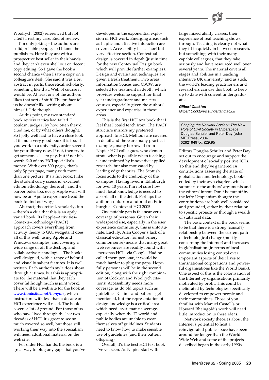

Woolrych (2002) referenced but not cited? I rest my case. End of review.

I'm only joking – the authors are solid, reliable people, so I blame the publishers. Here they are with a prospective best seller in their hands and they can't even shell out on decent copy editing. So I gave the book a second chance when I saw a copy on a colleague's desk. She said it was a bit abstract in parts, theoretical, scholarly, something like that. Well of course it would be. At least one of the authors likes that sort of stuff. The preface tells us he doesn't like writing about himself. I do though.

At this point, my two standard book review tactics had failed. I couldn't judge it by how often they'd cited me, or by what others thought. So I jolly well had to have a close look at it and a very good book it is too. If you work in a university, order several for your library now. If not, then try to get someone else to pay, but if not it's worth £40 of any HCI specialist's money. With over 800 pages, that's only 5p per page, many with more than one picture. It's a fun book. I like the student curry scenario, excellent ethnomethodology there; oh, and the barber poles too, every Apple wait will now be an Apollo experience (read the book to find out why).

Abstract, theoretical, scholarly, fun – there's a clue that this is an aptly varied book. Its People–Activities– Contexts–Technology (PACT) approach covers everything from activity theory to GUI widgets. It does all of this well, using Apple and Windows examples, and covering a wide range of off the desktop and collaborative technologies. The book is well designed, with a range of helpful and visually salient features. It is well written. Each author's style does show through at times, but this is appropriate for the material that they each cover (although much is joint work). There will be a web site for the book at [www.booksites.net/benyon](http://www.booksites.net/benyon/) , which instructors with less than a decade of HCI experience will need. The book covers a lot of ground. For those of us who have lived through the last two decades of HCI, it's great to see so much covered so well, but those still working their way into the specialism will need additional material on the web site.

For older HCI hands, the book is a great way to plug any gaps that you've

developed in the exponential explosion of HCI work. Emerging areas such as haptic and affective interaction are covered. Accessibility has a short but very effective section. Contextual design is covered in depth (just in time for the new Contextual Design book, which will provide further examples). Design and evaluation techniques are given a fresh treatment. Two areas, Information Spaces and CSCW, are selected for treatment in depth, which provides welcome support for final year undergraduate and masters courses, especially given the authors' experience and expertise in these areas.

This is the first HCI text book that I feel that I could teach from. The PACT structure mirrors my preferred approach to HCI. Methods are covered in detail and there are many practical examples, many borrowed from Napier HCI colleagues, who demonstrate what is possible when teaching is underpinned by innovative applied research, but also motivated by leading edge theories. The Scottish focus adds to the credibility of the examples. Having lived in Edinburgh for over 10 years, I'm not sure how much local knowledge is needed to absorb all of the detail. Perhaps the authors could run a tutorial on Edinburgh as Context at HCI 2005.

One notable gap is the near zero coverage of personas. Given their widespread use, especially in the user experience community, this is unfortunate. Luckily, Alan Cooper's lack of a classical education (or just ornery common sense) means that many great web resources are readily found with "personas HCI" via Google. Had he called them personæ, it would be much harder to plug the gaps. Hopefully personas will be in the second edition, along with the right combination of Cockton and Woolrych citations! Accessibility needs more coverage, as do old topics such as guidelines. Claims and patterns get mentioned, but the representation of design knowledge is a critical area which needs systematic coverage, especially when the IT world and public bodies are unable to wean themselves off guidelines. Students need to know how to make sensible use of guidelines (and their pattern offspring).

Overall, it's the best HCI text book I've yet seen. As Napier staff with

large mixed ability classes, their experience of real teaching shows through. Teaching is clearly not what they fit in quickly in between research, but something, with their many capable colleagues, that they take seriously and have resourced well over several years. The material covers all stages and abilities in a teaching intensive UK university, and as such, the world's leading practitioners and researchers can use this book to keep up to date with current undergraduates.

#### **Gilbert Cockton**

Gilbert.Cockton@sunderland.ac.uk

Shaping the Network Society: The New Role of Civil Society in Cyberspace Douglas Schuler and Peter Day (eds) MIT Press, 2004 026219497X, £29.95

Editors Douglas Schuler and Peter Day set out to encourage and support the development of socially positive ICTs. To this end they've garnered 14 contributions assessing the state of globalisation and technology, bookended by their own chapters which summarise the authors' arguments and the editors' intent. Don't be put off by the lefty Utopianism though: the contributions are both well considered and grounded, either by their relation to specific projects or through a wealth of statistical data.

The basic context of the book seems to be that there is a strong (causal?) relationship between the current path of technological change (mostly concerning the Internet) and increases in globalisation (in terms of local communities losing control over important aspects of their lives to transnational corporations and powerful organisations like the World Bank). One aspect of this is the colonisation of the Internet by organisations primarily motivated by profit. This could be meliorated by technologies specifically developed to empower people and their communities. Those of you familiar with Manuel Castell's or Howard Rheingold's work will need little introduction to these ideas.

Network society theories about the Internet's potential to host a reinvigorated public space have been around for longer than the World Wide Web and some of the projects described began in the early 1990s.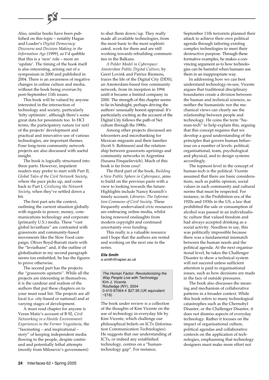

This book will be valued by anyone interested in the intersection of technology and society, particularly 'lefty optimists', although there's some great data for pessimists too. In HCI terms, the participatory nature (or not) of the projects' development and practical and innovative use of various technologies, are important themes. Four long-term community network projects are also discussed with useful insight.

The book is logically structured into three parts. However, impatient readers may prefer to start with Part II, *Global Tales of the Civil Network Society*, where the pace picks up, and come back to Part I, *Civilizing the Network Society*, when they've settled down a bit.

The first part sets the context, outlining the current situation globally with regards to power, money, communications technology and corporate (primarily U.S.) media. These "vast global leviathans" are contrasted with grassroots and community-based movements like the Slow Food campaign. Oliver Boyd-Barratt starts with the "leviathans" and, if the outline of globalisation in my second paragraph seems too embattled, he has the figures to prove otherwise.

The second part has the projects: the "grassroots upstarts". While all the projects are interesting in themselves, it is the candour and realism of the authors that put these chapters on to your must read list. The projects are all local (i.e. city-based or national) and at varying stages of development.

A must read chapter for anyone is Veran Matic's account of B 92, *Civil Networking in a Hostile Environment: Experiences in the Former Yugoslavia*, the "fascinating – and inspirational – story" of keeping independent media flowing to the people, despite continued and potentially lethal attempts (mostly from Milosevic's government)

to shut them down/up. They really made all available technologies, from the most basic to the most sophisticated, work for them and are still working towards rebuilding communities in the Balkans.

*A Polder Model in Cyberspace: Amsterdam Public Digital Culture*, by Geert Lovink and Patrice Riemens, traces the life of the Digital City (DDS), an Amsterdam-based free community network, from its inception in 1994 until it became a limited company in 2000. The strength of this chapter seems to lie in hindsight, perhaps driving the authors' unusually honest appraisal. It's particularly exciting as the account of the Digital City follows the path of Net culture through the 1990s.

Among other projects discussed are telecenters and microbanking for Mexican migrants and their families (Scott S. Robinson) and the relationship between grassroots uprisings and community networks in Argentina (Susana Finquelievich). Much of this book is far from cosy!

The third part of the book, *Building a New Public Sphere in Cyberspace*, aims to build on the previous parts with a view to looking towards the future. Highlights include Nancy Kranich's timely account, *Libraries: The Information Commons of Civil Society*. These frequently undervalued civic resources are embracing online media, whilst facing renewed onslaughts from modern copyright and continued uncertainty over funding.

This really is a valuable resource and I hope that the authors are rested and working on the next one in the series.

#### **Ella Smith**

e.smith@napier.ac.uk

The Human Factor: Revolutionizing the Way People Live with Technology Kim J. Vicente Routledge (NY), 2004 0-415-97064-4 \$27.95 (UK equivalent  $~5$ (16)

The book under review is a collection of the thoughts of Kim Vicente on the use of technology in everyday life by Kim Vicente, which challenge our philosophical beliefs on ICTs (Information Communication Technologies). He suggests that our understanding of ICTs, or indeed any established technology, centres on a "humantechnology gap". For instance,

September 11th terrorists planned their attack to achieve their own political agenda through tailoring existing complex technologies to meet their destructive purpose. Through these formative examples, he makes a convincing argument as to how technologies can be harmful when humans use them in an inappropriate way.

In addressing how we can best understand technology-in-use, Vicente argues that traditional disciplinary boundaries create a division between the human and technical sciences, so neither the humanistic nor the mechanical views can clearly see the relationship between people and technology. He coins the term "human-tech" to help explain this, arguing that this concept requires that we develop a good understanding of the principles that govern human behaviour on a number of levels: political, organisational, team, psychological and physical, and to design systems accordingly.

The topmost level in the concept of human-tech is the political. Vicente assumed that there are basic considerations, such as public opinion, social values in each community and cultural norms that must be respected. For instance, in the Prohibition era of the 1920s and 1930s in the US, a law that prohibited the sale or consumption of alcohol was passed in an individualistic culture that valued freedom and had always accepted drinking as a social activity. Needless to say, this was politically impossible because there was a fundamental mismatch between the human needs and the political agenda. At the next organisational level, he takes the Challenger Disaster to show a technical system will not succeed unless sufficient attention is paid to organisational issues, such as how decisions are made in the face of outside pressures.

The book also discusses the meaning and mechanism of collaborative patterns in a broader context. While this book refers to many technological catastrophes such as the Chernobyl Disaster, or the Challenger Disaster, it does not dismiss aspects of everyday technology. Rather it focuses on the impact of organisational culture, political agendas and collaborative contexts on the application of technologies, emphasising that technology designers must make more effort not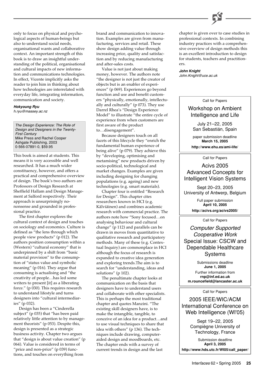

only to focus on physical and psychological aspects of human-beings but also to understand social needs, organisational wants and collaborative context. An important strength of this book is to draw an insightful understanding of the political, organisational and cultural impacts of new information and communications technologies. In effect, Vicente implicitly asks the reader to join him in thinking about how technologies are interrelated with everyday life, integrating information, communication and society.

#### **Hokyoung Ryu**

h.ryu@massey.ac.nz

The Design Experience: The Role of Design and Designers in the Twenty-First Century Mike Press and Rachel Cooper Ashgate Publishing, 2003 0-566-07891-0, \$59.95

This book is aimed at students. This means it is very accessible and well researched. It has a much wider constituency, however, and offers a practical and comprehensive overview of design. The book's two authors are Professors of Design Research at Sheffield Hallam and Design Management at Salford respectively. Their approach is unsurprisingly nononsense and grounded in professional practice.

The first chapter explores the cultural context of design and touches on sociology and economics. Culture is defined as "the lens through which people view products" (p 012). The authors position consumption within a (Western) "cultural economy" that is underpinned by a shift from "basic material provision" to the consumption of "status value and symbolic meaning" (p 016). They argue that consuming is actualising and "the creativity of people…has led some writers to present [it] as a liberating force." (p 030). This requires research to understand lifestyle and turns designers into "cultural intermediaries" (p 032).

Design has been a "Cinderella subject" (p 035) that "has been paid relatively little attention to by management theorists" (p 053). Despite this, design is presented as a strategic business activity. Chapter two argues that "design is about value creation" (p 064). Value is considered in terms of "price and non-price" (p 039) functions, and touches on everything from

brand and communication to innovation. Examples are given from manufacturing, services and retail. These show design adding value through increasing price, quality and satisfaction and by reducing manufacturing and after-sales costs.

Value is not just about making money, however. The authors note "the designer is not just the creator of objects but is an enabler of experiences" (p 069). Experiences go beyond function and use and benefit customers "physically, emotionally, intellectually and culturally" (p 073). They use Darrel Rhea's "Design Experience Model" to illustrate "the entire cycle of experience from when customers are first aware of the product to…disengagement".

Because designers touch on all facets of this lifecycle they "enrich the fundamental human experience of being alive" (p 079). They achieve this by "developing, optimising and metamising" new products driven by socio-political, technological and market changes. Examples are given including designing for changing populations (e.g. ageing) and new technologies (e.g. smart materials).

Chapter four is entitled "Research for Design". This chapter cites researchers known in HCI (e.g. Kälviäinen) and combines academic research with commercial practice. The authors note how "Sony focused…on analysing behaviour and cultural change" (p 112) and parallels can be drawn in moves from quantitative to qualitative research and participatory methods. Many of these (e.g. Contextual Inquiry) are commonplace in HCI although the focus of research is expanded to creative idea generation and exploring trends.The aim is to search for "understanding, ideas and solutions" (p 102).

The penultimate chapter looks at communication on the basis that designers have to understand users and collaborate with other specialists. This is perhaps the most traditional chapter and quotes Manzini. "The existing skill designers have, is to make the intangible, tangible, to conceive of an idea for a product…and to use visual techniques to share that idea with others" (p 136). The techniques include drawing, computeraided design and moodboards, etc. The chapter ends with a survey of current trends in design and the last

chapter is given over to case studies in professional contexts. In combining industry practices with a comprehensive overview of design methods this is an excellent introduction to design for students, teachers and practitioners.

**John Knight** John.Knight@uce.ac.uk

Call for Papers

## Workshop on Ambient Intelligence and Life

July 21–22, 2005 San Sebastián, Spain

paper submission deadline **March 15, 2005**

**http://www.ehu.es/ami-life/**

#### Call for Papers

## Acivs 2005 Advanced Concepts for Intelligent Vision Systems

Sept 20–23, 2005 University of Antwerp, Belgium

> Full paper submission **April 10, 2005 http://acivs.org/acivs2005/**

> > Call for Papers

Computer Supported Cooperative Work Special Issue: CSCW and Dependable Healthcare Systems

Submissions deadline **June 1, 2005** Further information from **rnp@inf.ed.ac.uk m.rouncefield@lancaster.ac.uk**

Call for Papers

2005 IEEE/WIC/ACM International Conference on Web Intelligence (WI'05)

> Sept 19–22, 2005 Compiègne University of Technology, France

Submission deadline **April 3, 2005 http://www.hds.utc.fr/WI05/call\_paper/**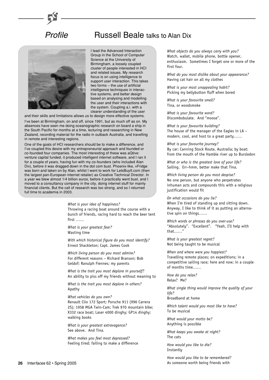## **Profile** Russell Beale talks to Alan Dix



I lead the Advanced Interaction Group in the School of Computer Science at the University of Birmingham, a loosely coupled cluster of people interested in HCI and related issues. My research focus is on using intelligence to support user interaction. This takes two forms – the use of artificial intelligence techniques in interactive systems, and better design based on analysing and modelling the user and their interactions with the system. Coupling a.i. with a clearer understanding of the user

and their skills and limitations allows us to design more effective systems.

I've been at Birmingham, on and off, since 1991, but as much off as on. My absences have seen me doing oceanographic research on board a ship in the South Pacific for months at a time, lecturing and researching in New Zealand, recording material for the radio in outback Australia, and travelling in remote and interesting regions.

One of the goals of HCI researchers should be to make a difference, and I've coupled this desire with my entrepreneurial approach and founded or co-founded four companies. The most interesting of these was aQtive: venture capital funded, it produced intelligent internet software, and I ran it for a couple of years, having fun with my co-founders (who included Alan Dix), before it was dragged down in the dot com bust. Phoenix-like, vFridge was born and taken on by Alan, whilst I went to work for LetsBuyIt.com (then the largest pan-European internet retailer) as Creative Technical Director. In a year we blew almost 1/4 billion euros, before it practically went bust, and I moved to a consultancy company in the city, doing internet stuff for mainly financial clients. But the call of research was too strong, and so I returned full time to academia in 2003.

> *What is your idea of happiness?* Throwing a racing boat around the course with a bunch of friends, racing hard to reach the beer tent first ……

*What is your greatest fear?* Wasting time

*With which historical figure do you most identify?* Ernest Shackleton; Capt. James Cook

*Which living person do you most admire?* For different reasons – Richard Branson; Bob Geldof; Ranulph Fiennes; my parents

*What is the trait you most deplore in yourself?* An ability to piss off my friends without meaning to

*What is the trait you most deplore in others?* Apathy

*What vehicles do you own?* Renault Clio 172 Sport; Porsche 911 (996 Carrera 2S); 1958 MGA Twin-Cam; Trek 970 mountain bike; X332 race boat; Laser 4000 dinghy; GP14 dinghy; walking books

*What is your greatest extravagance?* See above. And Tina.

*What makes you feel most depressed?* Feeling tired; failing to make a difference

*What objects do you always carry with you?* Watch, wallet, mobile phone, bottle opener, enthusiasm. Sometimes I forget one or more of the first four.

*What do you most dislike about your appearance?* Having cat hair on all my clothes

*What is your most unappealing habit?* Picking my bellybutton fluff when bored

*What is your favourite smell?* Tina, or woodsmoke

*What is your favourite word?* Discombobulate. And "moose".

*What is your favourite building?* The house of the manager of the Eagles in LA – modern, cool, and host to a great party……

*What is your favourite journey?* By car: Canning Stock Route, Australia; by boat: from the mouth of the Hamble river up to Bursledon

*What or who is the greatest love of your life?* Sailing. Err–hmm, better make that Tina.

*Which living person do you most despise?* No one person, but anyone who perpetrates inhuman acts and compounds this with a religious justification would fit

*On what occasions do you lie?* When I'm tired of standing up and sitting down. Anyway, I like to think of it as putting an alternative spin on things……

*Which words or phrases do you over-use?* "Absolutely". "Excellent". "Yeah, I'll help with that……"

*What is your greatest regret?* Not being taught to be musical

*When and where were you happiest?* Travelling remote places; on expeditions; in a competitive sailing race; here and now; in a couple of months time……

*How do you relax?* Relax? Me?

*What single thing would improve the quality of your life?*

Broadband at home

*Which talent would you most like to have?* To be musical

*What would your motto be?* Anything is possible

*What keeps you awake at night?* The cats

*How would you like to die?* Instantly

*How would you like to be remembered?* As someone worth being friends with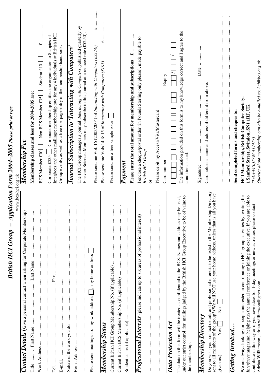| British HCI Group - Application Form 2004–2005 Please print or type<br>www.bcs-hci.org.uk                                                                                                                                                                                                                                                                          |                                                                                                                                                                                                                                                      |
|--------------------------------------------------------------------------------------------------------------------------------------------------------------------------------------------------------------------------------------------------------------------------------------------------------------------------------------------------------------------|------------------------------------------------------------------------------------------------------------------------------------------------------------------------------------------------------------------------------------------------------|
| Contact Details (Give a personal contact when asking for Corporate Membership)                                                                                                                                                                                                                                                                                     | Membership Fee                                                                                                                                                                                                                                       |
| Title                                                                                                                                                                                                                                                                                                                                                              | Membership classes and fees for 2004-2005 are:                                                                                                                                                                                                       |
| ÷                                                                                                                                                                                                                                                                                                                                                                  | .<br>.<br>.<br>.<br>.<br>.<br>.<br>.<br>$\overline{\mathbf{t}}$<br>Student $£10$<br>Non BCS Member £35<br><b>BCS Member £30</b>                                                                                                                      |
| Tel                                                                                                                                                                                                                                                                                                                                                                | Interfaces and other mailings; membership rate for any 4 individuals at British HCI<br>Corporate membership entitles the organisation to 8 copies of<br>Group events, as well as a free one-page entry in the membership handbook.<br>Corporate £235 |
| ÷                                                                                                                                                                                                                                                                                                                                                                  | Journal Subscription to 'Interacting with Computers'                                                                                                                                                                                                 |
| ÷<br>$\vdots$                                                                                                                                                                                                                                                                                                                                                      | The HCI Group manages a journal, Interacting with Computers, published quarterly by<br>Elsevier Science. Members may subscribe to this journal at a reduced rate (£52.50)                                                                            |
| Please send mailings to: my work address [62]; my home address                                                                                                                                                                                                                                                                                                     | $\overline{u}$<br>Please send me Vol. 16 (2003/2004) of Interacting with Computers $(£52.50)$                                                                                                                                                        |
| Membership Status                                                                                                                                                                                                                                                                                                                                                  | <br>$\overline{\mathbf{u}}$<br>Please send me Vols 14 & 15 of Interacting with Computers (£105)                                                                                                                                                      |
| $\ddot{\cdot}$                                                                                                                                                                                                                                                                                                                                                     | Please send me a free sample issue                                                                                                                                                                                                                   |
| $\vdots$                                                                                                                                                                                                                                                                                                                                                           | <b>Payment</b>                                                                                                                                                                                                                                       |
|                                                                                                                                                                                                                                                                                                                                                                    | $\rightarrow$<br>Please enter the total amount for membership and subscriptions                                                                                                                                                                      |
| $\vdots$<br>Professional Interests (please indicate up to six areas of professional interest)                                                                                                                                                                                                                                                                      | I enclose a cheque/postal order (in Pounds Sterling only please), made payable to<br><b>British HCI Group</b><br>$\overline{c}$                                                                                                                      |
|                                                                                                                                                                                                                                                                                                                                                                    | Please debit my Access/Visa/Mastercard                                                                                                                                                                                                               |
| Data Protection Act                                                                                                                                                                                                                                                                                                                                                | Expiry<br>Card number                                                                                                                                                                                                                                |
| value to<br>The data on this form will be treated as confidential to the BCS. Names and address may be used,<br>under our strict control, for mailings judged by the British HCI Group Executive to be of v<br>the membership.                                                                                                                                     | The information provided on this form is to my knowledge correct and I agree to the<br>conditions stated.                                                                                                                                            |
| <b>Membership Directory</b>                                                                                                                                                                                                                                                                                                                                        |                                                                                                                                                                                                                                                      |
| Directory<br>sent to all members of the group? (We will NOT use your home address, unless that is all you have<br>Do you wish your contact details and professional interests to be listed in the Membership<br>$\frac{1}{2}$<br>Yes<br>given us.)                                                                                                                 | Card holder's name and address if different from above:                                                                                                                                                                                              |
| <b>Getting Involved</b>                                                                                                                                                                                                                                                                                                                                            | Send completed forms and cheques to:                                                                                                                                                                                                                 |
| We are always looking for people interested in contributing to HCI group activities by, writing for<br>able to<br>contribute in this way or if you have ideas for 1-day meetings or new activities please contact<br>Interfaces magazine, helping run the annual conference or joining the executive. If you are<br>Adrian Williamson, adrian.williamson@gtnet.com | Queries about membership can also be e-mailed to: hci@bcs.org.uk<br><b>HCI Membership, British Computer Society,</b><br>1 Sanford Street, Swindon, SN1 1HJ, UK<br>(Tel.+44(0)1793 417417)                                                            |